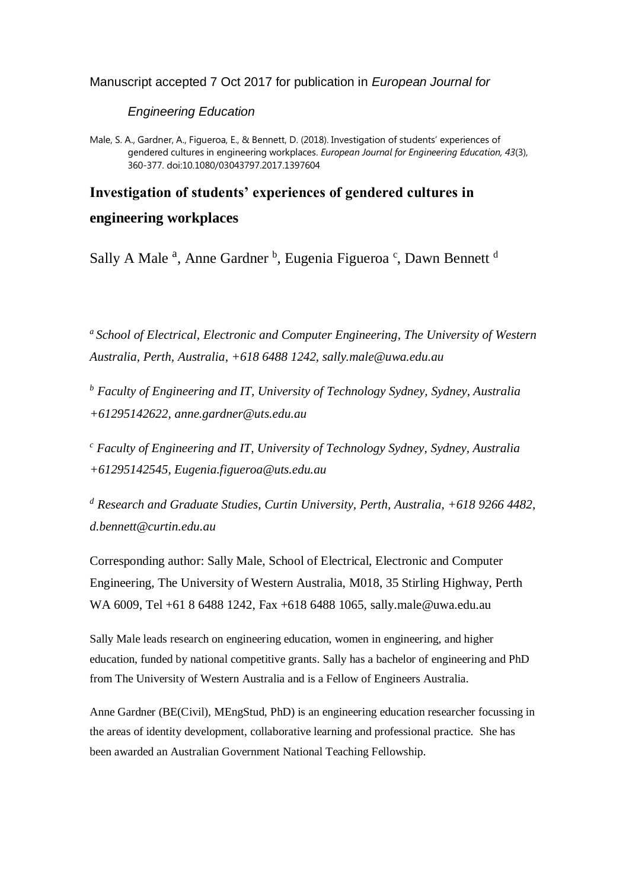Manuscript accepted 7 Oct 2017 for publication in *European Journal for* 

*Engineering Education*

Male, S. A., Gardner, A., Figueroa, E., & Bennett, D. (2018). Investigation of students' experiences of gendered cultures in engineering workplaces. *European Journal for Engineering Education, 43*(3), 360-377. doi:10.1080/03043797.2017.1397604

# **Investigation of students' experiences of gendered cultures in engineering workplaces**

Sally A Male<sup>a</sup>, Anne Gardner<sup>b</sup>, Eugenia Figueroa<sup>c</sup>, Dawn Bennett<sup>d</sup>

*<sup>a</sup>School of Electrical, Electronic and Computer Engineering, The University of Western Australia, Perth, Australia, +618 6488 1242, sally.male@uwa.edu.au*

*<sup>b</sup> Faculty of Engineering and IT, University of Technology Sydney, Sydney, Australia +61295142622, anne.gardner@uts.edu.au*

*<sup>c</sup> Faculty of Engineering and IT, University of Technology Sydney, Sydney, Australia +61295142545, Eugenia.figueroa@uts.edu.au*

*<sup>d</sup> Research and Graduate Studies, Curtin University, Perth, Australia, +618 9266 4482, d.bennett@curtin.edu.au*

Corresponding author: Sally Male, School of Electrical, Electronic and Computer Engineering, The University of Western Australia, M018, 35 Stirling Highway, Perth WA 6009, Tel +61 8 6488 1242, Fax +618 6488 1065, sally.male@uwa.edu.au

Sally Male leads research on engineering education, women in engineering, and higher education, funded by national competitive grants. Sally has a bachelor of engineering and PhD from The University of Western Australia and is a Fellow of Engineers Australia.

Anne Gardner (BE(Civil), MEngStud, PhD) is an engineering education researcher focussing in the areas of identity development, collaborative learning and professional practice. She has been awarded an Australian Government National Teaching Fellowship.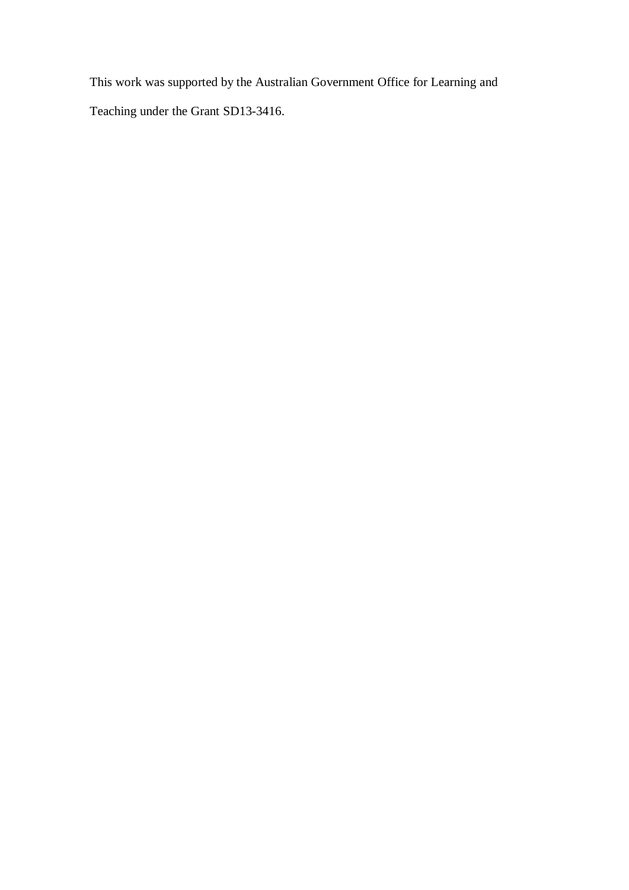This work was supported by the Australian Government Office for Learning and Teaching under the Grant SD13-3416.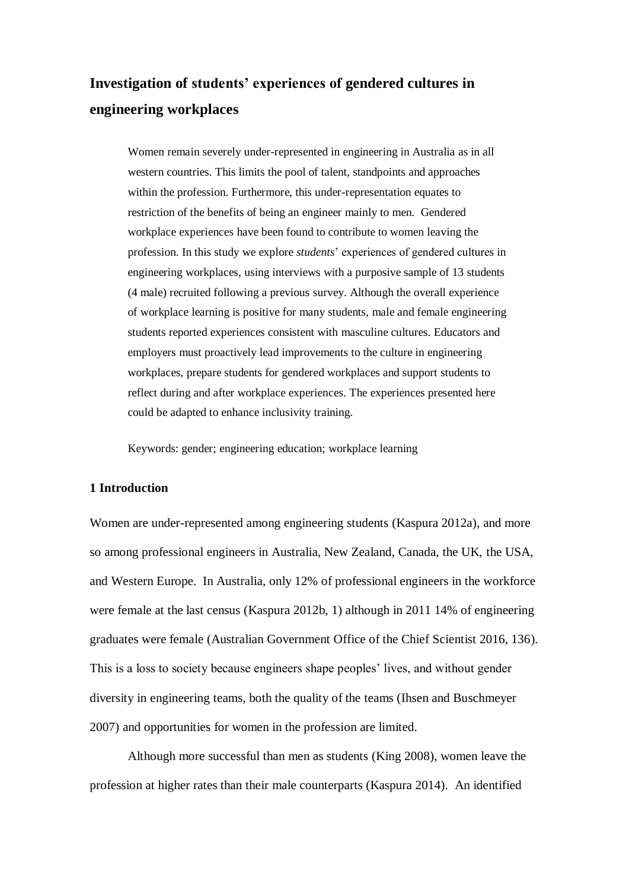# **Investigation of students' experiences of gendered cultures in engineering workplaces**

Women remain severely under-represented in engineering in Australia as in all western countries. This limits the pool of talent, standpoints and approaches within the profession. Furthermore, this under-representation equates to restriction of the benefits of being an engineer mainly to men. Gendered workplace experiences have been found to contribute to women leaving the profession. In this study we explore *students*' experiences of gendered cultures in engineering workplaces, using interviews with a purposive sample of 13 students (4 male) recruited following a previous survey. Although the overall experience of workplace learning is positive for many students, male and female engineering students reported experiences consistent with masculine cultures. Educators and employers must proactively lead improvements to the culture in engineering workplaces, prepare students for gendered workplaces and support students to reflect during and after workplace experiences. The experiences presented here could be adapted to enhance inclusivity training.

Keywords: gender; engineering education; workplace learning

# **1 Introduction**

Women are under-represented among engineering students [\(Kaspura 2012a\)](#page-34-0), and more so among professional engineers in Australia, New Zealand, Canada, the UK, the USA, and Western Europe. In Australia, only 12% of professional engineers in the workforce were female at the last census [\(Kaspura 2012b, 1\)](#page-34-1) although in 2011 14% of engineering graduates were female [\(Australian Government Office of the Chief Scientist 2016, 136\)](#page-33-0). This is a loss to society because engineers shape peoples' lives, and without gender diversity in engineering teams, both the quality of the teams [\(Ihsen and Buschmeyer](#page-34-2)  [2007\)](#page-34-2) and opportunities for women in the profession are limited.

Although more successful than men as students [\(King 2008\)](#page-34-3), women leave the profession at higher rates than their male counterparts [\(Kaspura 2014\)](#page-34-4). An identified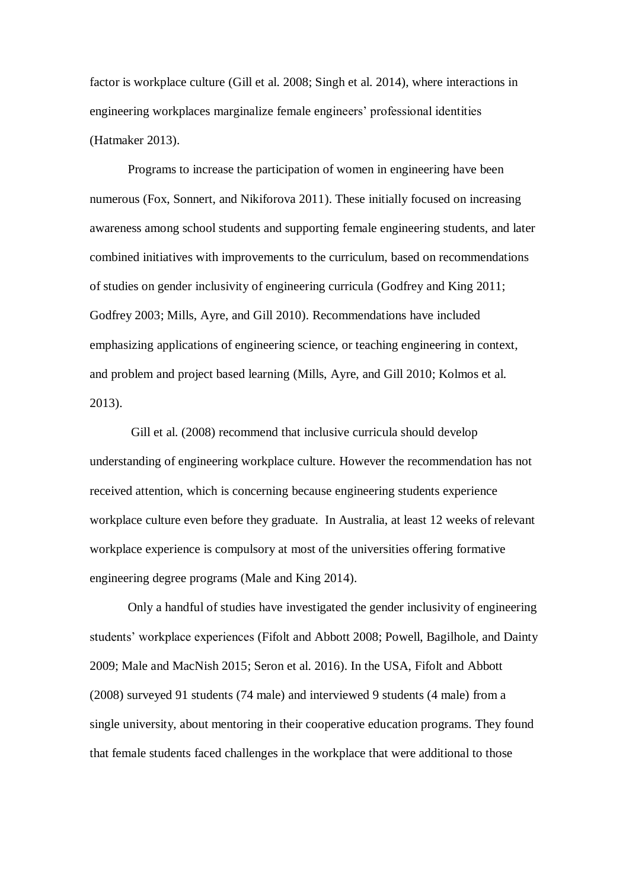factor is workplace culture [\(Gill et al. 2008;](#page-33-1) [Singh et al. 2014\)](#page-35-0), where interactions in engineering workplaces marginalize female engineers' professional identities [\(Hatmaker 2013\)](#page-33-2).

Programs to increase the participation of women in engineering have been numerous [\(Fox, Sonnert, and Nikiforova 2011\)](#page-33-3). These initially focused on increasing awareness among school students and supporting female engineering students, and later combined initiatives with improvements to the curriculum, based on recommendations of studies on gender inclusivity of engineering curricula [\(Godfrey and King 2011;](#page-33-4) [Godfrey 2003;](#page-33-5) [Mills, Ayre, and Gill 2010\)](#page-34-5). Recommendations have included emphasizing applications of engineering science, or teaching engineering in context, and problem and project based learning [\(Mills, Ayre, and Gill 2010;](#page-34-5) [Kolmos et al.](#page-34-6)  [2013\)](#page-34-6).

Gill et al. (2008) recommend that inclusive curricula should develop understanding of engineering workplace culture. However the recommendation has not received attention, which is concerning because engineering students experience workplace culture even before they graduate. In Australia, at least 12 weeks of relevant workplace experience is compulsory at most of the universities offering formative engineering degree programs [\(Male and King 2014\)](#page-34-7).

Only a handful of studies have investigated the gender inclusivity of engineering students' workplace experiences [\(Fifolt and Abbott 2008;](#page-33-6) [Powell, Bagilhole, and Dainty](#page-34-8)  [2009;](#page-34-8) [Male and MacNish 2015;](#page-34-9) [Seron et al. 2016\)](#page-34-10). In the USA, Fifolt and Abbott (2008) surveyed 91 students (74 male) and interviewed 9 students (4 male) from a single university, about mentoring in their cooperative education programs. They found that female students faced challenges in the workplace that were additional to those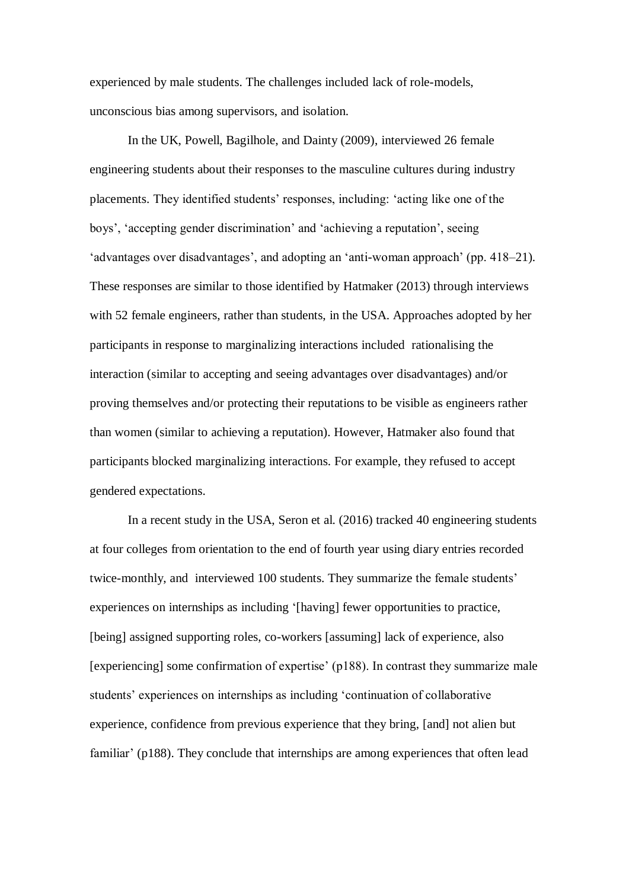experienced by male students. The challenges included lack of role-models, unconscious bias among supervisors, and isolation.

In the UK, Powell, Bagilhole, and Dainty (2009), interviewed 26 female engineering students about their responses to the masculine cultures during industry placements. They identified students' responses, including: 'acting like one of the boys', 'accepting gender discrimination' and 'achieving a reputation', seeing 'advantages over disadvantages', and adopting an 'anti-woman approach' (pp. 418–21). These responses are similar to those identified by Hatmaker (2013) through interviews with 52 female engineers, rather than students, in the USA. Approaches adopted by her participants in response to marginalizing interactions included rationalising the interaction (similar to accepting and seeing advantages over disadvantages) and/or proving themselves and/or protecting their reputations to be visible as engineers rather than women (similar to achieving a reputation). However, Hatmaker also found that participants blocked marginalizing interactions. For example, they refused to accept gendered expectations.

In a recent study in the USA, Seron et al. (2016) tracked 40 engineering students at four colleges from orientation to the end of fourth year using diary entries recorded twice-monthly, and interviewed 100 students. They summarize the female students' experiences on internships as including '[having] fewer opportunities to practice, [being] assigned supporting roles, co-workers [assuming] lack of experience, also [experiencing] some confirmation of expertise' (p188). In contrast they summarize male students' experiences on internships as including 'continuation of collaborative experience, confidence from previous experience that they bring, [and] not alien but familiar' (p188). They conclude that internships are among experiences that often lead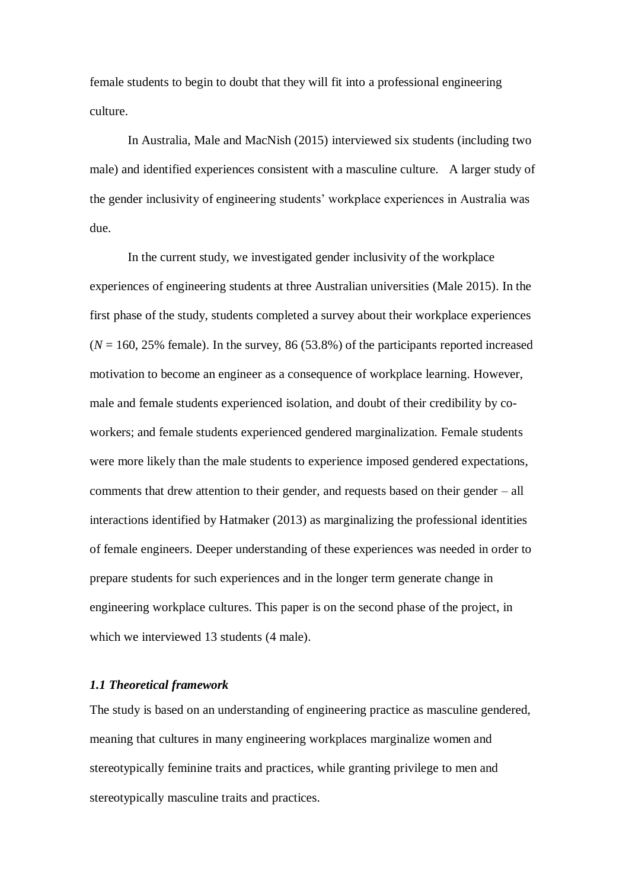female students to begin to doubt that they will fit into a professional engineering culture.

In Australia, Male and MacNish (2015) interviewed six students (including two male) and identified experiences consistent with a masculine culture. A larger study of the gender inclusivity of engineering students' workplace experiences in Australia was due.

In the current study, we investigated gender inclusivity of the workplace experiences of engineering students at three Australian universities (Male 2015). In the first phase of the study, students completed a survey about their workplace experiences  $(N = 160, 25\%$  female). In the survey, 86 (53.8%) of the participants reported increased motivation to become an engineer as a consequence of workplace learning. However, male and female students experienced isolation, and doubt of their credibility by coworkers; and female students experienced gendered marginalization. Female students were more likely than the male students to experience imposed gendered expectations, comments that drew attention to their gender, and requests based on their gender – all interactions identified by Hatmaker (2013) as marginalizing the professional identities of female engineers. Deeper understanding of these experiences was needed in order to prepare students for such experiences and in the longer term generate change in engineering workplace cultures. This paper is on the second phase of the project, in which we interviewed 13 students (4 male).

## *1.1 Theoretical framework*

The study is based on an understanding of engineering practice as masculine gendered, meaning that cultures in many engineering workplaces marginalize women and stereotypically feminine traits and practices, while granting privilege to men and stereotypically masculine traits and practices.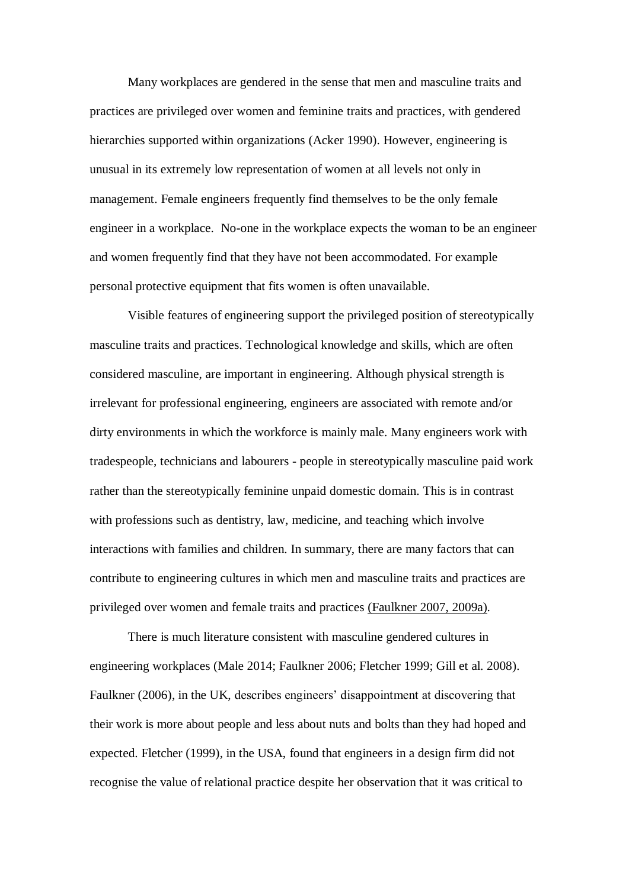Many workplaces are gendered in the sense that men and masculine traits and practices are privileged over women and feminine traits and practices, with gendered hierarchies supported within organizations [\(Acker 1990\)](#page-33-7). However, engineering is unusual in its extremely low representation of women at all levels not only in management. Female engineers frequently find themselves to be the only female engineer in a workplace. No-one in the workplace expects the woman to be an engineer and women frequently find that they have not been accommodated. For example personal protective equipment that fits women is often unavailable.

Visible features of engineering support the privileged position of stereotypically masculine traits and practices. Technological knowledge and skills, which are often considered masculine, are important in engineering. Although physical strength is irrelevant for professional engineering, engineers are associated with remote and/or dirty environments in which the workforce is mainly male. Many engineers work with tradespeople, technicians and labourers - people in stereotypically masculine paid work rather than the stereotypically feminine unpaid domestic domain. This is in contrast with professions such as dentistry, law, medicine, and teaching which involve interactions with families and children. In summary, there are many factors that can contribute to engineering cultures in which men and masculine traits and practices are privileged over women and female traits and practices [\(Faulkner 2007,](#page-33-8) [2009a\)](#page-33-9).

There is much literature consistent with masculine gendered cultures in engineering workplaces [\(Male 2014;](#page-34-11) [Faulkner 2006;](#page-33-10) [Fletcher 1999;](#page-33-11) [Gill et al. 2008\)](#page-33-1). Faulkner (2006), in the UK, describes engineers' disappointment at discovering that their work is more about people and less about nuts and bolts than they had hoped and expected. Fletcher (1999), in the USA, found that engineers in a design firm did not recognise the value of relational practice despite her observation that it was critical to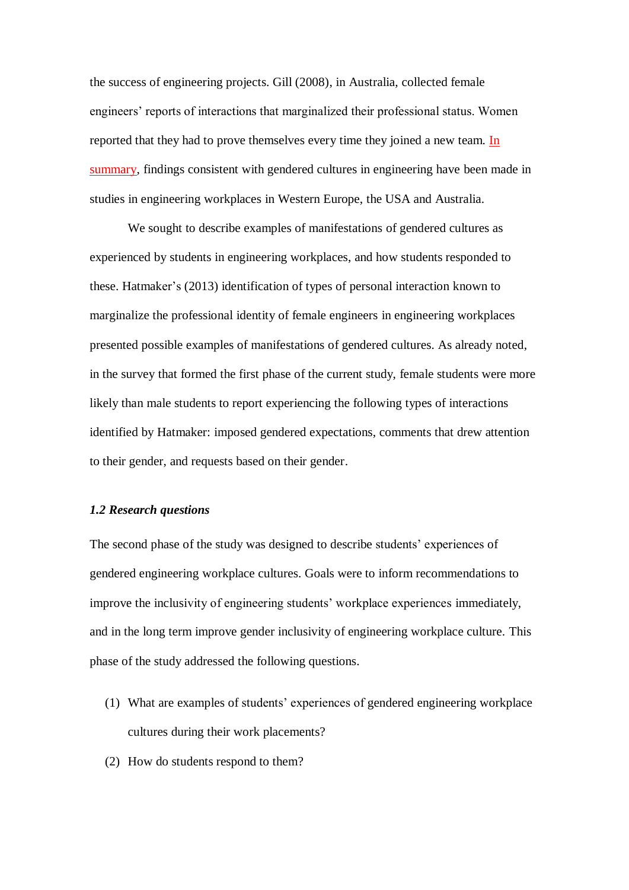the success of engineering projects. Gill (2008), in Australia, collected female engineers' reports of interactions that marginalized their professional status. Women reported that they had to prove themselves every time they joined a new team. In summary, findings consistent with gendered cultures in engineering have been made in studies in engineering workplaces in Western Europe, the USA and Australia.

We sought to describe examples of manifestations of gendered cultures as experienced by students in engineering workplaces, and how students responded to these. Hatmaker's [\(2013\)](#page-33-2) identification of types of personal interaction known to marginalize the professional identity of female engineers in engineering workplaces presented possible examples of manifestations of gendered cultures. As already noted, in the survey that formed the first phase of the current study, female students were more likely than male students to report experiencing the following types of interactions identified by Hatmaker: imposed gendered expectations, comments that drew attention to their gender, and requests based on their gender.

## *1.2 Research questions*

The second phase of the study was designed to describe students' experiences of gendered engineering workplace cultures. Goals were to inform recommendations to improve the inclusivity of engineering students' workplace experiences immediately, and in the long term improve gender inclusivity of engineering workplace culture. This phase of the study addressed the following questions.

- (1) What are examples of students' experiences of gendered engineering workplace cultures during their work placements?
- (2) How do students respond to them?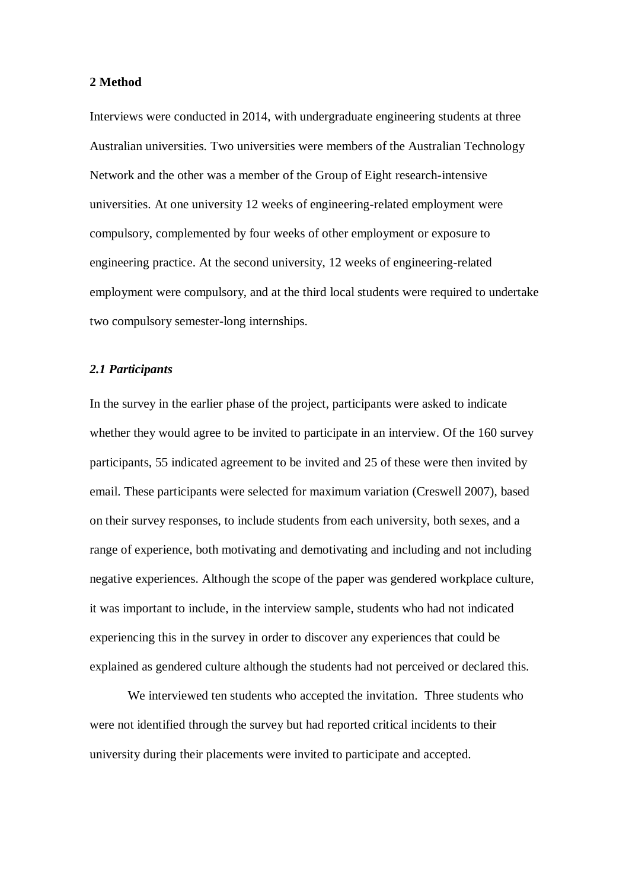# **2 Method**

Interviews were conducted in 2014, with undergraduate engineering students at three Australian universities. Two universities were members of the Australian Technology Network and the other was a member of the Group of Eight research-intensive universities. At one university 12 weeks of engineering-related employment were compulsory, complemented by four weeks of other employment or exposure to engineering practice. At the second university, 12 weeks of engineering-related employment were compulsory, and at the third local students were required to undertake two compulsory semester-long internships.

# *2.1 Participants*

In the survey in the earlier phase of the project, participants were asked to indicate whether they would agree to be invited to participate in an interview. Of the 160 survey participants, 55 indicated agreement to be invited and 25 of these were then invited by email. These participants were selected for maximum variation [\(Creswell 2007\)](#page-33-12), based on their survey responses, to include students from each university, both sexes, and a range of experience, both motivating and demotivating and including and not including negative experiences. Although the scope of the paper was gendered workplace culture, it was important to include, in the interview sample, students who had not indicated experiencing this in the survey in order to discover any experiences that could be explained as gendered culture although the students had not perceived or declared this.

We interviewed ten students who accepted the invitation. Three students who were not identified through the survey but had reported critical incidents to their university during their placements were invited to participate and accepted.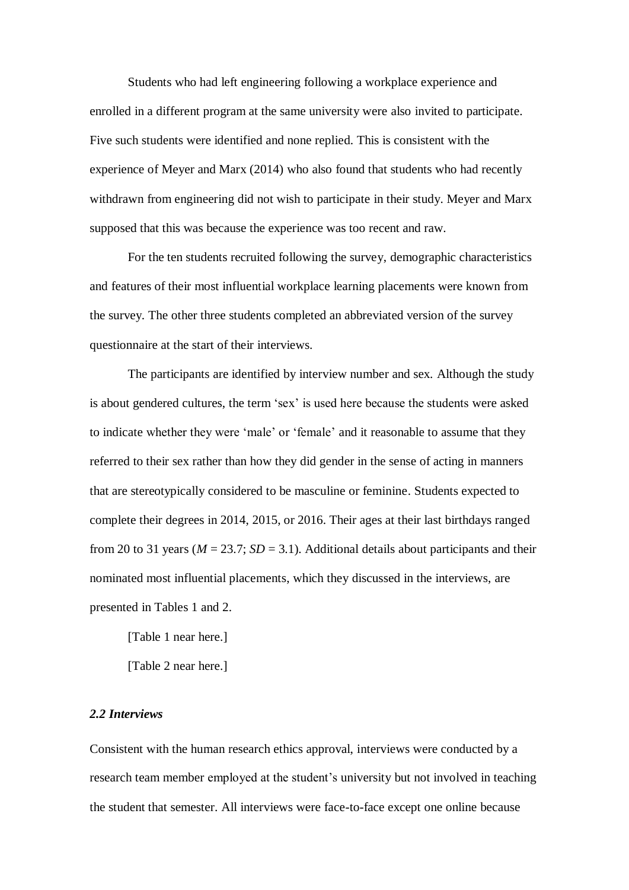Students who had left engineering following a workplace experience and enrolled in a different program at the same university were also invited to participate. Five such students were identified and none replied. This is consistent with the experience of Meyer and Marx (2014) who also found that students who had recently withdrawn from engineering did not wish to participate in their study. Meyer and Marx supposed that this was because the experience was too recent and raw.

For the ten students recruited following the survey, demographic characteristics and features of their most influential workplace learning placements were known from the survey. The other three students completed an abbreviated version of the survey questionnaire at the start of their interviews.

The participants are identified by interview number and sex. Although the study is about gendered cultures, the term 'sex' is used here because the students were asked to indicate whether they were 'male' or 'female' and it reasonable to assume that they referred to their sex rather than how they did gender in the sense of acting in manners that are stereotypically considered to be masculine or feminine. Students expected to complete their degrees in 2014, 2015, or 2016. Their ages at their last birthdays ranged from 20 to 31 years ( $M = 23.7$ ;  $SD = 3.1$ ). Additional details about participants and their nominated most influential placements, which they discussed in the interviews, are presented in Tables 1 and 2.

[Table 1 near here.]

[Table 2 near here.]

# *2.2 Interviews*

Consistent with the human research ethics approval, interviews were conducted by a research team member employed at the student's university but not involved in teaching the student that semester. All interviews were face-to-face except one online because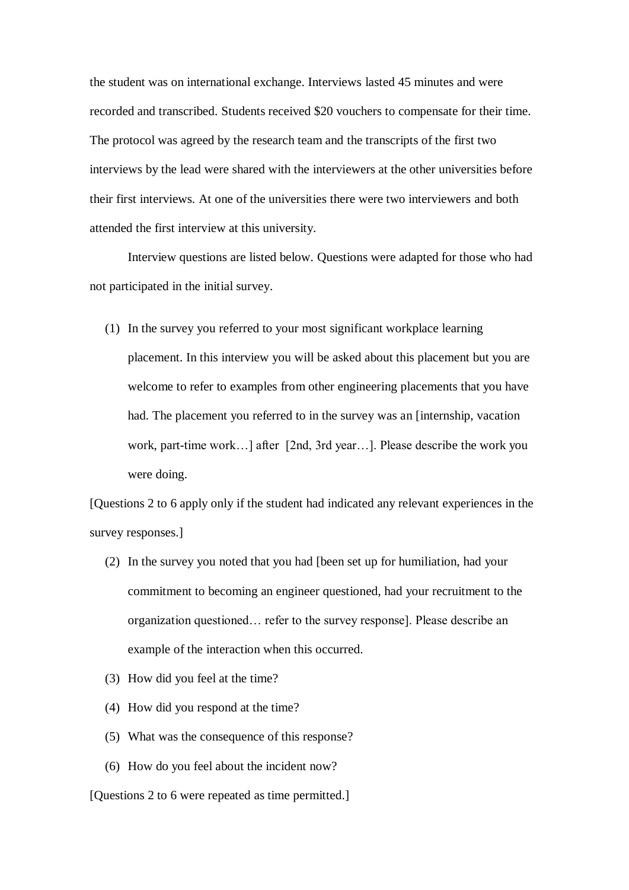the student was on international exchange. Interviews lasted 45 minutes and were recorded and transcribed. Students received \$20 vouchers to compensate for their time. The protocol was agreed by the research team and the transcripts of the first two interviews by the lead were shared with the interviewers at the other universities before their first interviews. At one of the universities there were two interviewers and both attended the first interview at this university.

Interview questions are listed below. Questions were adapted for those who had not participated in the initial survey.

(1) In the survey you referred to your most significant workplace learning placement. In this interview you will be asked about this placement but you are welcome to refer to examples from other engineering placements that you have had. The placement you referred to in the survey was an [internship, vacation work, part-time work…] after [2nd, 3rd year…]. Please describe the work you were doing.

[Questions 2 to 6 apply only if the student had indicated any relevant experiences in the survey responses.]

- (2) In the survey you noted that you had [been set up for humiliation, had your commitment to becoming an engineer questioned, had your recruitment to the organization questioned… refer to the survey response]. Please describe an example of the interaction when this occurred.
- (3) How did you feel at the time?
- (4) How did you respond at the time?
- (5) What was the consequence of this response?
- (6) How do you feel about the incident now?

[Questions 2 to 6 were repeated as time permitted.]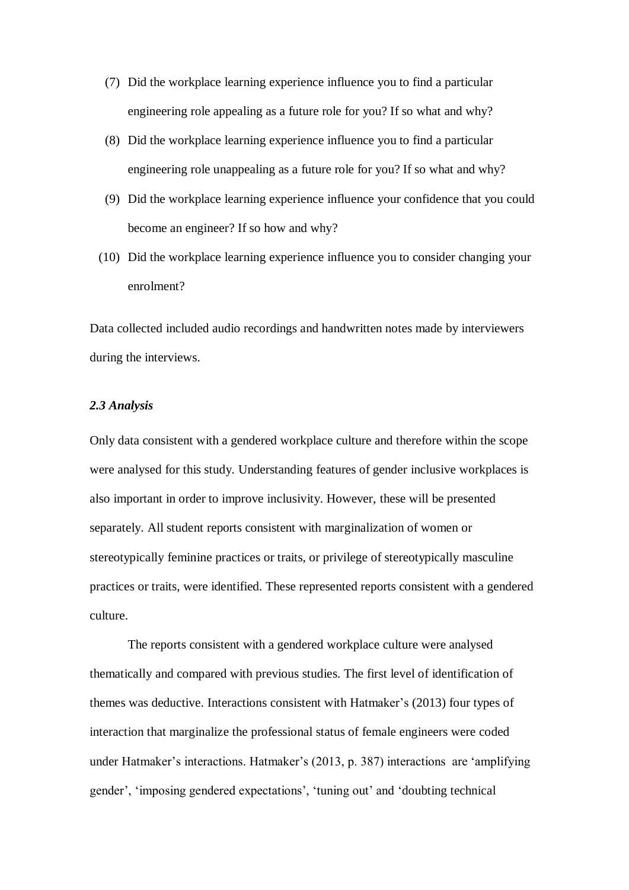- (7) Did the workplace learning experience influence you to find a particular engineering role appealing as a future role for you? If so what and why?
- (8) Did the workplace learning experience influence you to find a particular engineering role unappealing as a future role for you? If so what and why?
- (9) Did the workplace learning experience influence your confidence that you could become an engineer? If so how and why?
- (10) Did the workplace learning experience influence you to consider changing your enrolment?

Data collected included audio recordings and handwritten notes made by interviewers during the interviews.

# *2.3 Analysis*

Only data consistent with a gendered workplace culture and therefore within the scope were analysed for this study. Understanding features of gender inclusive workplaces is also important in order to improve inclusivity. However, these will be presented separately. All student reports consistent with marginalization of women or stereotypically feminine practices or traits, or privilege of stereotypically masculine practices or traits, were identified. These represented reports consistent with a gendered culture.

The reports consistent with a gendered workplace culture were analysed thematically and compared with previous studies. The first level of identification of themes was deductive. Interactions consistent with Hatmaker's (2013) four types of interaction that marginalize the professional status of female engineers were coded under Hatmaker's interactions. Hatmaker's (2013, p. 387) interactions are 'amplifying gender', 'imposing gendered expectations', 'tuning out' and 'doubting technical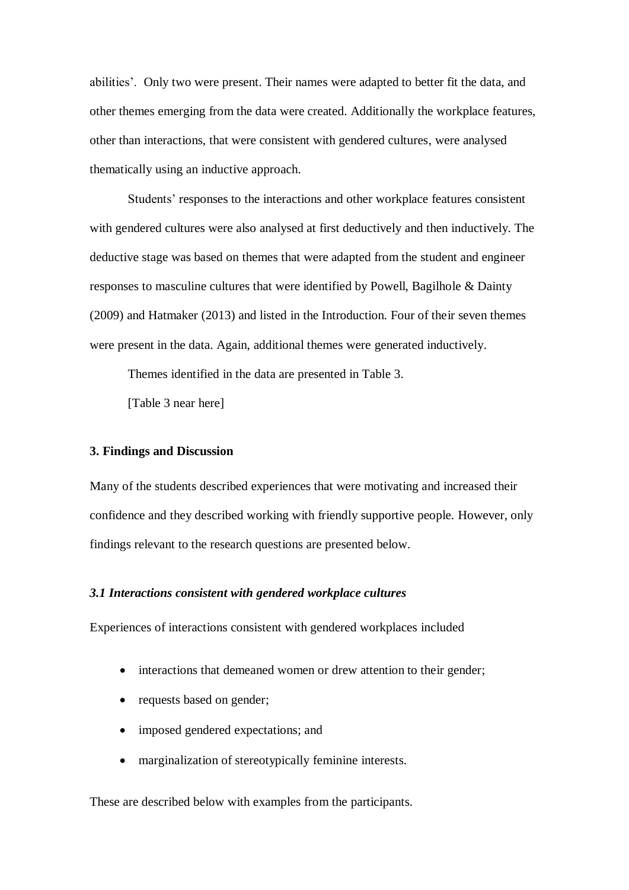abilities'. Only two were present. Their names were adapted to better fit the data, and other themes emerging from the data were created. Additionally the workplace features, other than interactions, that were consistent with gendered cultures, were analysed thematically using an inductive approach.

Students' responses to the interactions and other workplace features consistent with gendered cultures were also analysed at first deductively and then inductively. The deductive stage was based on themes that were adapted from the student and engineer responses to masculine cultures that were identified by Powell, Bagilhole & Dainty (2009) and Hatmaker (2013) and listed in the Introduction. Four of their seven themes were present in the data. Again, additional themes were generated inductively.

Themes identified in the data are presented in Table 3.

[Table 3 near here]

#### **3. Findings and Discussion**

Many of the students described experiences that were motivating and increased their confidence and they described working with friendly supportive people. However, only findings relevant to the research questions are presented below.

#### *3.1 Interactions consistent with gendered workplace cultures*

Experiences of interactions consistent with gendered workplaces included

- interactions that demeaned women or drew attention to their gender;
- requests based on gender;
- imposed gendered expectations; and
- marginalization of stereotypically feminine interests.

These are described below with examples from the participants.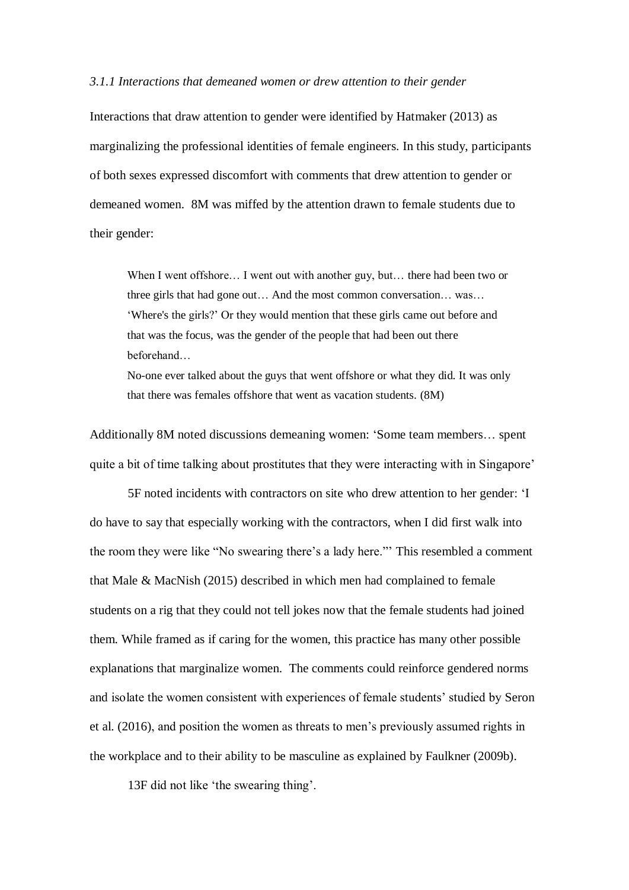#### *3.1.1 Interactions that demeaned women or drew attention to their gender*

Interactions that draw attention to gender were identified by Hatmaker (2013) as marginalizing the professional identities of female engineers. In this study, participants of both sexes expressed discomfort with comments that drew attention to gender or demeaned women. 8M was miffed by the attention drawn to female students due to their gender:

When I went offshore... I went out with another guy, but... there had been two or three girls that had gone out… And the most common conversation… was… 'Where's the girls?' Or they would mention that these girls came out before and that was the focus, was the gender of the people that had been out there beforehand…

No-one ever talked about the guys that went offshore or what they did. It was only that there was females offshore that went as vacation students. (8M)

Additionally 8M noted discussions demeaning women: 'Some team members… spent quite a bit of time talking about prostitutes that they were interacting with in Singapore'

5F noted incidents with contractors on site who drew attention to her gender: 'I do have to say that especially working with the contractors, when I did first walk into the room they were like "No swearing there's a lady here."' This resembled a comment that Male & MacNish (2015) described in which men had complained to female students on a rig that they could not tell jokes now that the female students had joined them. While framed as if caring for the women, this practice has many other possible explanations that marginalize women. The comments could reinforce gendered norms and isolate the women consistent with experiences of female students' studied by Seron et al. (2016), and position the women as threats to men's previously assumed rights in the workplace and to their ability to be masculine as explained by Faulkner (2009b).

13F did not like 'the swearing thing'.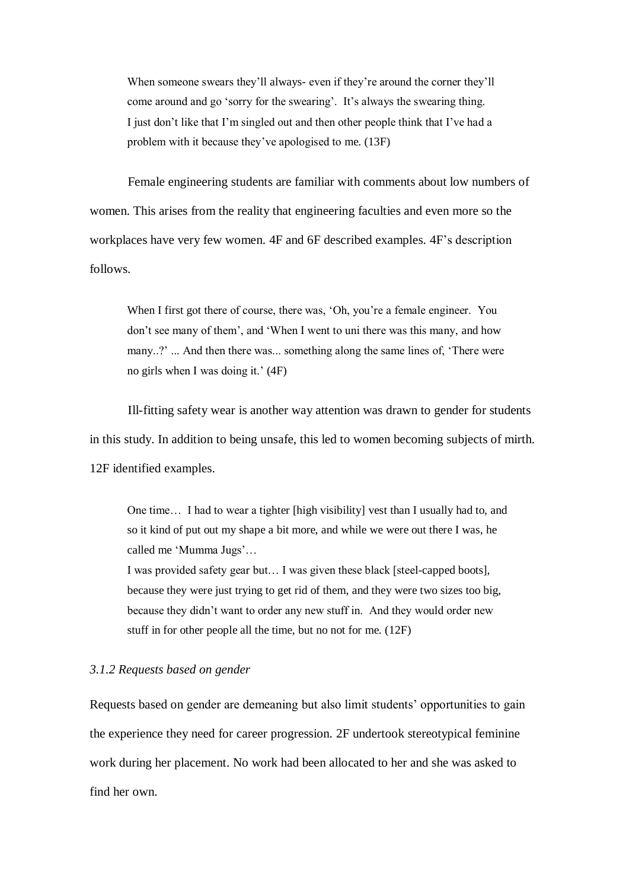When someone swears they'll always- even if they're around the corner they'll come around and go 'sorry for the swearing'. It's always the swearing thing. I just don't like that I'm singled out and then other people think that I've had a problem with it because they've apologised to me. (13F)

Female engineering students are familiar with comments about low numbers of women. This arises from the reality that engineering faculties and even more so the workplaces have very few women. 4F and 6F described examples. 4F's description follows.

When I first got there of course, there was, 'Oh, you're a female engineer. You don't see many of them', and 'When I went to uni there was this many, and how many..?' ... And then there was... something along the same lines of, 'There were no girls when I was doing it.' (4F)

Ill-fitting safety wear is another way attention was drawn to gender for students in this study. In addition to being unsafe, this led to women becoming subjects of mirth. 12F identified examples.

One time… I had to wear a tighter [high visibility] vest than I usually had to, and so it kind of put out my shape a bit more, and while we were out there I was, he called me 'Mumma Jugs'…

I was provided safety gear but… I was given these black [steel-capped boots], because they were just trying to get rid of them, and they were two sizes too big, because they didn't want to order any new stuff in. And they would order new stuff in for other people all the time, but no not for me. (12F)

# *3.1.2 Requests based on gender*

Requests based on gender are demeaning but also limit students' opportunities to gain the experience they need for career progression. 2F undertook stereotypical feminine work during her placement. No work had been allocated to her and she was asked to find her own.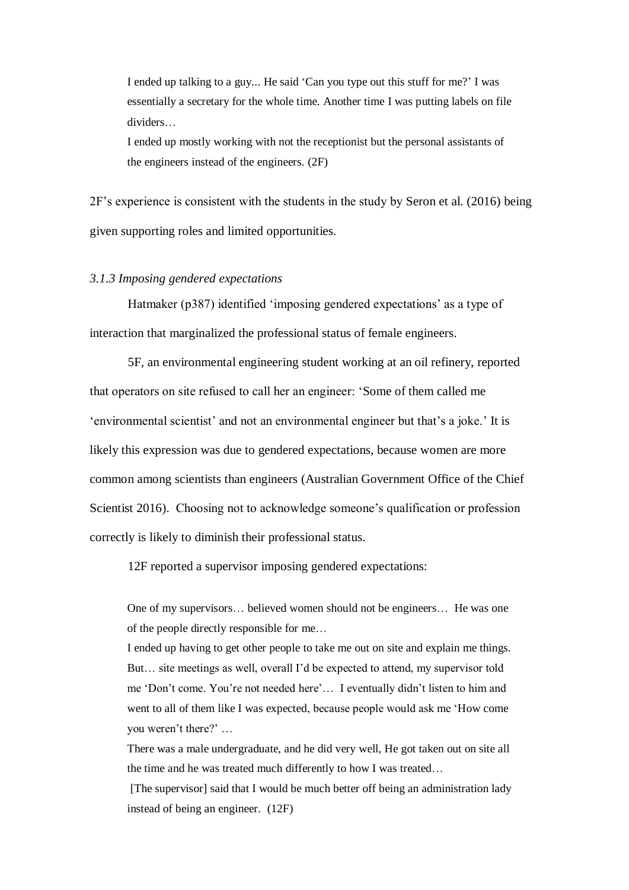I ended up talking to a guy... He said 'Can you type out this stuff for me?' I was essentially a secretary for the whole time. Another time I was putting labels on file dividers…

I ended up mostly working with not the receptionist but the personal assistants of the engineers instead of the engineers. (2F)

2F's experience is consistent with the students in the study by Seron et al. (2016) being given supporting roles and limited opportunities.

# *3.1.3 Imposing gendered expectations*

Hatmaker (p387) identified 'imposing gendered expectations' as a type of interaction that marginalized the professional status of female engineers.

5F, an environmental engineering student working at an oil refinery, reported that operators on site refused to call her an engineer: 'Some of them called me 'environmental scientist' and not an environmental engineer but that's a joke.' It is likely this expression was due to gendered expectations, because women are more common among scientists than engineers [\(Australian Government Office of the](#page-33-0) Chief [Scientist 2016\)](#page-33-0). Choosing not to acknowledge someone's qualification or profession correctly is likely to diminish their professional status.

12F reported a supervisor imposing gendered expectations:

One of my supervisors… believed women should not be engineers… He was one of the people directly responsible for me…

I ended up having to get other people to take me out on site and explain me things. But… site meetings as well, overall I'd be expected to attend, my supervisor told me 'Don't come. You're not needed here'… I eventually didn't listen to him and went to all of them like I was expected, because people would ask me 'How come you weren't there?' …

There was a male undergraduate, and he did very well, He got taken out on site all the time and he was treated much differently to how I was treated…

[The supervisor] said that I would be much better off being an administration lady instead of being an engineer. (12F)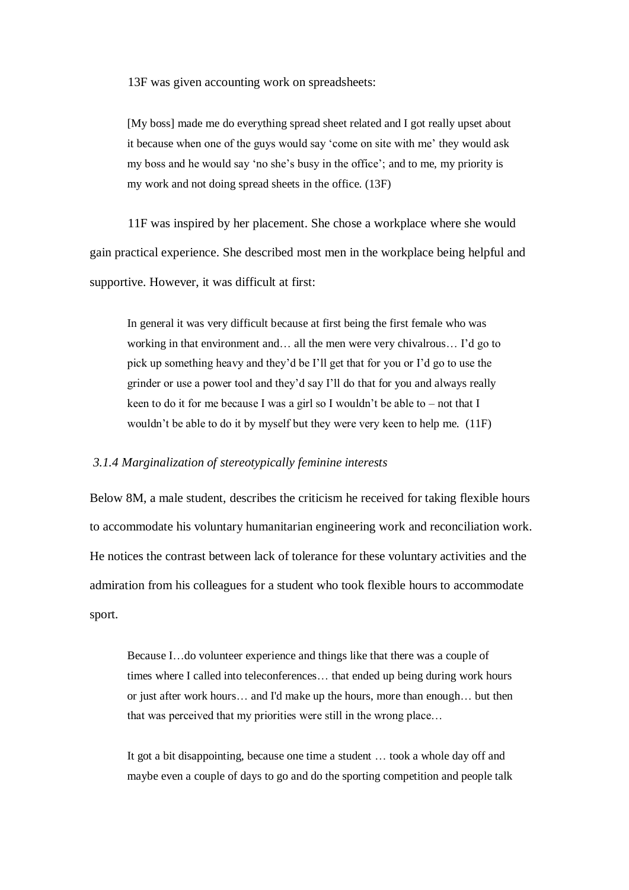13F was given accounting work on spreadsheets:

[My boss] made me do everything spread sheet related and I got really upset about it because when one of the guys would say 'come on site with me' they would ask my boss and he would say 'no she's busy in the office'; and to me, my priority is my work and not doing spread sheets in the office. (13F)

11F was inspired by her placement. She chose a workplace where she would gain practical experience. She described most men in the workplace being helpful and supportive. However, it was difficult at first:

In general it was very difficult because at first being the first female who was working in that environment and… all the men were very chivalrous… I'd go to pick up something heavy and they'd be I'll get that for you or I'd go to use the grinder or use a power tool and they'd say I'll do that for you and always really keen to do it for me because I was a girl so I wouldn't be able to – not that I wouldn't be able to do it by myself but they were very keen to help me. (11F)

#### *3.1.4 Marginalization of stereotypically feminine interests*

Below 8M, a male student, describes the criticism he received for taking flexible hours to accommodate his voluntary humanitarian engineering work and reconciliation work. He notices the contrast between lack of tolerance for these voluntary activities and the admiration from his colleagues for a student who took flexible hours to accommodate sport.

Because I…do volunteer experience and things like that there was a couple of times where I called into teleconferences… that ended up being during work hours or just after work hours… and I'd make up the hours, more than enough… but then that was perceived that my priorities were still in the wrong place…

It got a bit disappointing, because one time a student … took a whole day off and maybe even a couple of days to go and do the sporting competition and people talk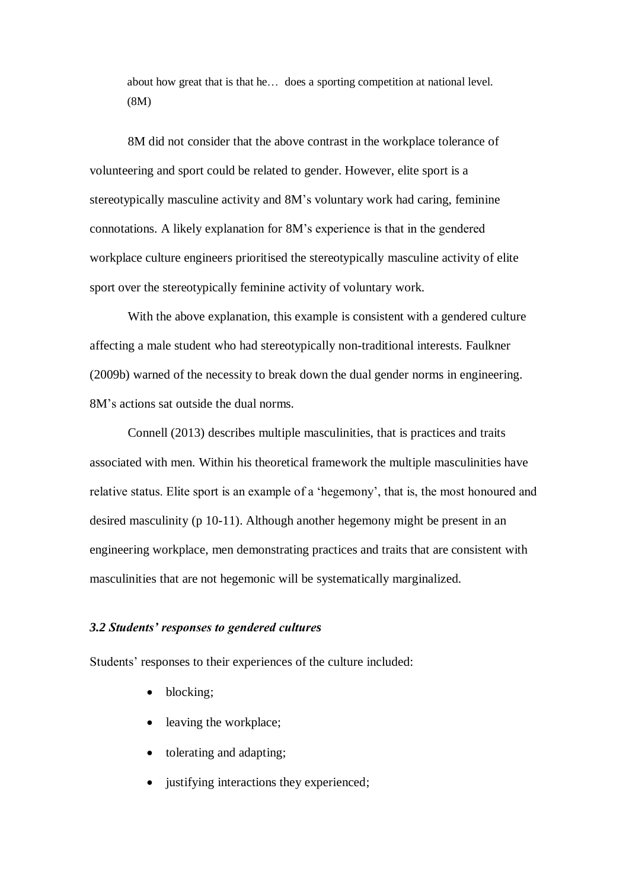about how great that is that he… does a sporting competition at national level. (8M)

8M did not consider that the above contrast in the workplace tolerance of volunteering and sport could be related to gender. However, elite sport is a stereotypically masculine activity and 8M's voluntary work had caring, feminine connotations. A likely explanation for 8M's experience is that in the gendered workplace culture engineers prioritised the stereotypically masculine activity of elite sport over the stereotypically feminine activity of voluntary work.

With the above explanation, this example is consistent with a gendered culture affecting a male student who had stereotypically non-traditional interests. Faulkner (2009b) warned of the necessity to break down the dual gender norms in engineering. 8M's actions sat outside the dual norms.

Connell (2013) describes multiple masculinities, that is practices and traits associated with men. Within his theoretical framework the multiple masculinities have relative status. Elite sport is an example of a 'hegemony', that is, the most honoured and desired masculinity (p 10-11). Although another hegemony might be present in an engineering workplace, men demonstrating practices and traits that are consistent with masculinities that are not hegemonic will be systematically marginalized.

# *3.2 Students' responses to gendered cultures*

Students' responses to their experiences of the culture included:

- blocking;
- leaving the workplace;
- tolerating and adapting;
- justifying interactions they experienced;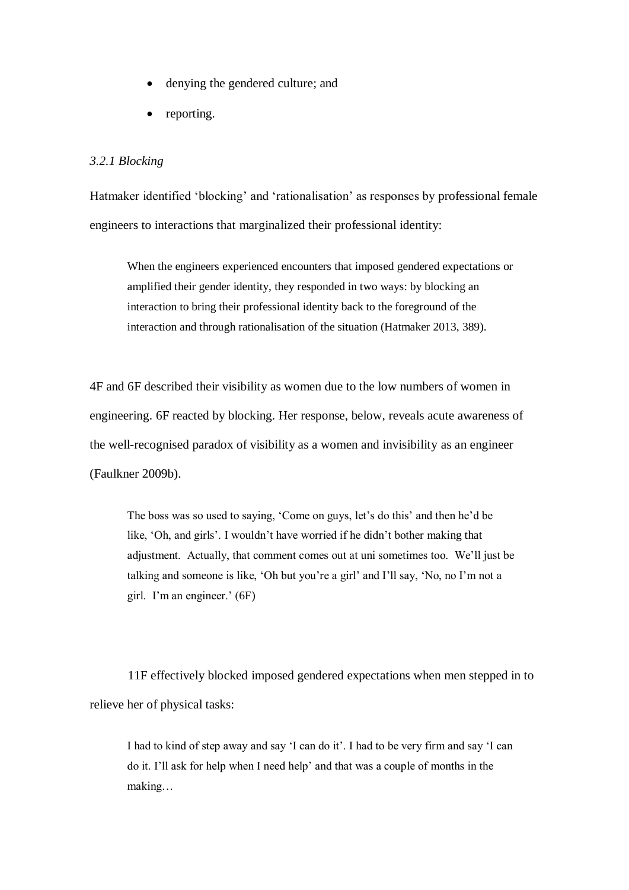- denying the gendered culture; and
- reporting.

# *3.2.1 Blocking*

Hatmaker identified 'blocking' and 'rationalisation' as responses by professional female engineers to interactions that marginalized their professional identity:

When the engineers experienced encounters that imposed gendered expectations or amplified their gender identity, they responded in two ways: by blocking an interaction to bring their professional identity back to the foreground of the interaction and through rationalisation of the situation [\(Hatmaker 2013, 389\)](#page-33-2).

4F and 6F described their visibility as women due to the low numbers of women in engineering. 6F reacted by blocking. Her response, below, reveals acute awareness of the well-recognised paradox of visibility as a women and invisibility as an engineer [\(Faulkner 2009b\)](#page-33-13).

The boss was so used to saying, 'Come on guys, let's do this' and then he'd be like, 'Oh, and girls'. I wouldn't have worried if he didn't bother making that adjustment. Actually, that comment comes out at uni sometimes too. We'll just be talking and someone is like, 'Oh but you're a girl' and I'll say, 'No, no I'm not a girl. I'm an engineer.' (6F)

11F effectively blocked imposed gendered expectations when men stepped in to relieve her of physical tasks:

I had to kind of step away and say 'I can do it'. I had to be very firm and say 'I can do it. I'll ask for help when I need help' and that was a couple of months in the making…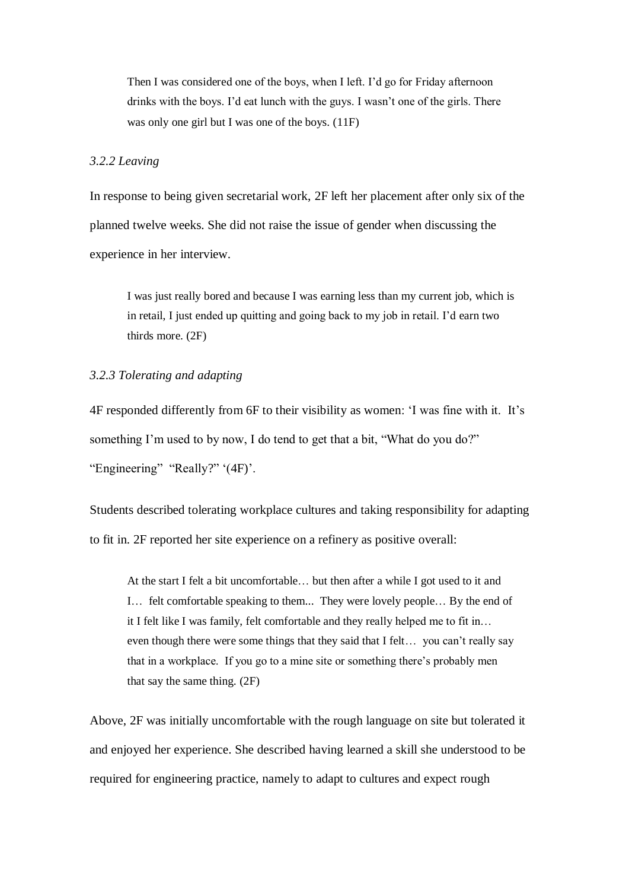Then I was considered one of the boys, when I left. I'd go for Friday afternoon drinks with the boys. I'd eat lunch with the guys. I wasn't one of the girls. There was only one girl but I was one of the boys. (11F)

# *3.2.2 Leaving*

In response to being given secretarial work, 2F left her placement after only six of the planned twelve weeks. She did not raise the issue of gender when discussing the experience in her interview.

I was just really bored and because I was earning less than my current job, which is in retail, I just ended up quitting and going back to my job in retail. I'd earn two thirds more. (2F)

# *3.2.3 Tolerating and adapting*

4F responded differently from 6F to their visibility as women: 'I was fine with it. It's something I'm used to by now, I do tend to get that a bit, "What do you do?" "Engineering" "Really?" '(4F)'.

Students described tolerating workplace cultures and taking responsibility for adapting to fit in. 2F reported her site experience on a refinery as positive overall:

At the start I felt a bit uncomfortable… but then after a while I got used to it and I… felt comfortable speaking to them... They were lovely people… By the end of it I felt like I was family, felt comfortable and they really helped me to fit in… even though there were some things that they said that I felt… you can't really say that in a workplace. If you go to a mine site or something there's probably men that say the same thing. (2F)

Above, 2F was initially uncomfortable with the rough language on site but tolerated it and enjoyed her experience. She described having learned a skill she understood to be required for engineering practice, namely to adapt to cultures and expect rough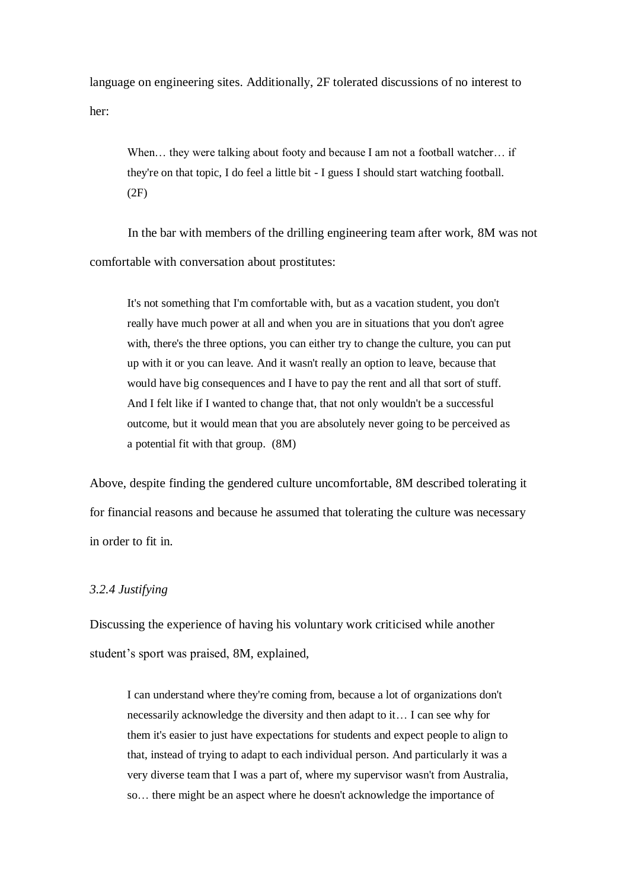language on engineering sites. Additionally, 2F tolerated discussions of no interest to her:

When... they were talking about footy and because I am not a football watcher... if they're on that topic, I do feel a little bit - I guess I should start watching football. (2F)

In the bar with members of the drilling engineering team after work, 8M was not comfortable with conversation about prostitutes:

It's not something that I'm comfortable with, but as a vacation student, you don't really have much power at all and when you are in situations that you don't agree with, there's the three options, you can either try to change the culture, you can put up with it or you can leave. And it wasn't really an option to leave, because that would have big consequences and I have to pay the rent and all that sort of stuff. And I felt like if I wanted to change that, that not only wouldn't be a successful outcome, but it would mean that you are absolutely never going to be perceived as a potential fit with that group. (8M)

Above, despite finding the gendered culture uncomfortable, 8M described tolerating it for financial reasons and because he assumed that tolerating the culture was necessary in order to fit in.

# *3.2.4 Justifying*

Discussing the experience of having his voluntary work criticised while another student's sport was praised, 8M, explained,

I can understand where they're coming from, because a lot of organizations don't necessarily acknowledge the diversity and then adapt to it… I can see why for them it's easier to just have expectations for students and expect people to align to that, instead of trying to adapt to each individual person. And particularly it was a very diverse team that I was a part of, where my supervisor wasn't from Australia, so… there might be an aspect where he doesn't acknowledge the importance of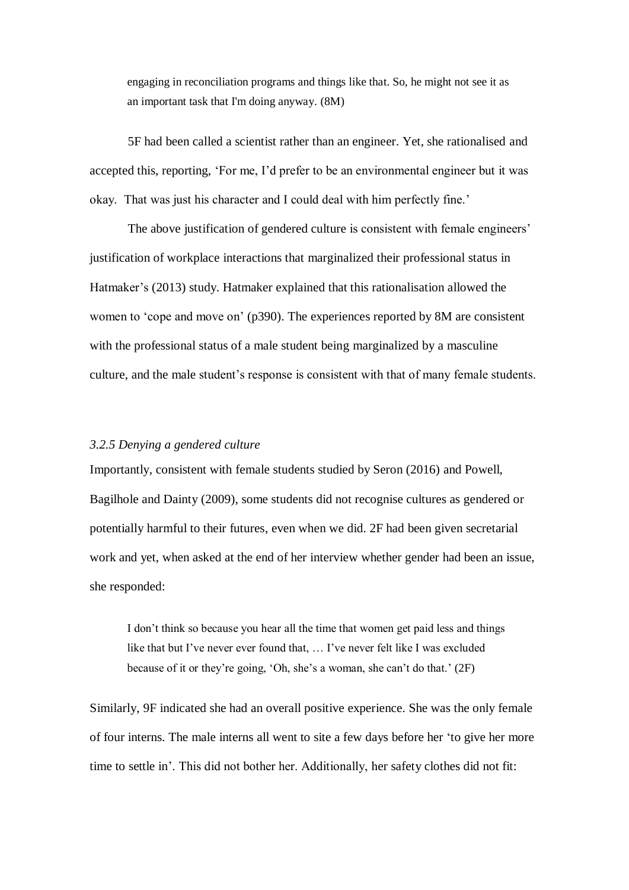engaging in reconciliation programs and things like that. So, he might not see it as an important task that I'm doing anyway. (8M)

5F had been called a scientist rather than an engineer. Yet, she rationalised and accepted this, reporting, 'For me, I'd prefer to be an environmental engineer but it was okay. That was just his character and I could deal with him perfectly fine.'

The above justification of gendered culture is consistent with female engineers' justification of workplace interactions that marginalized their professional status in Hatmaker's [\(2013\)](#page-33-2) study. Hatmaker explained that this rationalisation allowed the women to 'cope and move on' (p390). The experiences reported by 8M are consistent with the professional status of a male student being marginalized by a masculine culture, and the male student's response is consistent with that of many female students.

# *3.2.5 Denying a gendered culture*

Importantly, consistent with female students studied by Seron (2016) and Powell, Bagilhole and Dainty [\(2009\)](#page-34-8), some students did not recognise cultures as gendered or potentially harmful to their futures, even when we did. 2F had been given secretarial work and yet, when asked at the end of her interview whether gender had been an issue, she responded:

I don't think so because you hear all the time that women get paid less and things like that but I've never ever found that, … I've never felt like I was excluded because of it or they're going, 'Oh, she's a woman, she can't do that.' (2F)

Similarly, 9F indicated she had an overall positive experience. She was the only female of four interns. The male interns all went to site a few days before her 'to give her more time to settle in'. This did not bother her. Additionally, her safety clothes did not fit: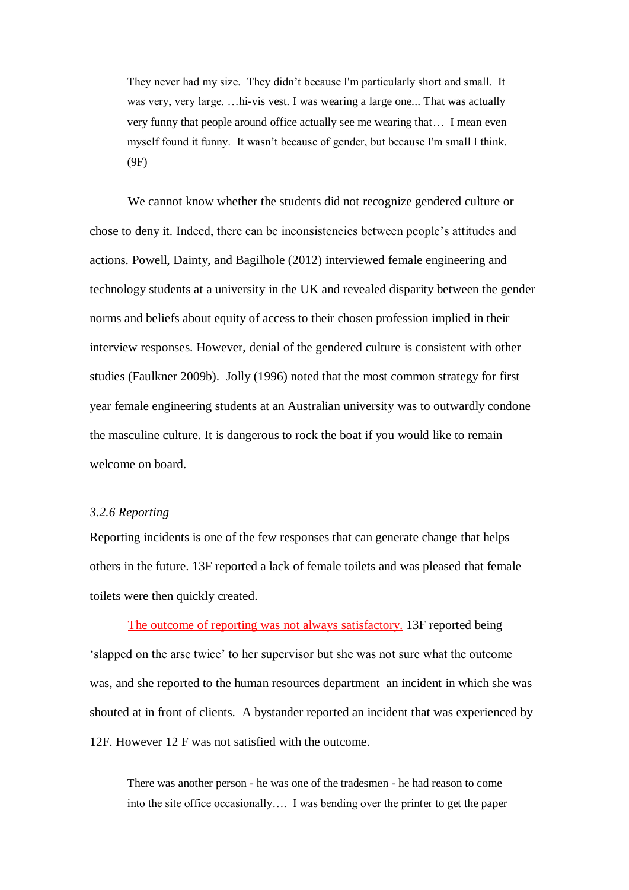They never had my size. They didn't because I'm particularly short and small. It was very, very large. …hi-vis vest. I was wearing a large one... That was actually very funny that people around office actually see me wearing that… I mean even myself found it funny. It wasn't because of gender, but because I'm small I think. (9F)

We cannot know whether the students did not recognize gendered culture or chose to deny it. Indeed, there can be inconsistencies between people's attitudes and actions. Powell, Dainty, and Bagilhole (2012) interviewed female engineering and technology students at a university in the UK and revealed disparity between the gender norms and beliefs about equity of access to their chosen profession implied in their interview responses. However, denial of the gendered culture is consistent with other studies [\(Faulkner 2009b\)](#page-33-13). Jolly (1996) noted that the most common strategy for first year female engineering students at an Australian university was to outwardly condone the masculine culture. It is dangerous to rock the boat if you would like to remain welcome on board.

# *3.2.6 Reporting*

Reporting incidents is one of the few responses that can generate change that helps others in the future. 13F reported a lack of female toilets and was pleased that female toilets were then quickly created.

The outcome of reporting was not always satisfactory. 13F reported being 'slapped on the arse twice' to her supervisor but she was not sure what the outcome was, and she reported to the human resources department an incident in which she was shouted at in front of clients. A bystander reported an incident that was experienced by 12F. However 12 F was not satisfied with the outcome.

There was another person - he was one of the tradesmen - he had reason to come into the site office occasionally…. I was bending over the printer to get the paper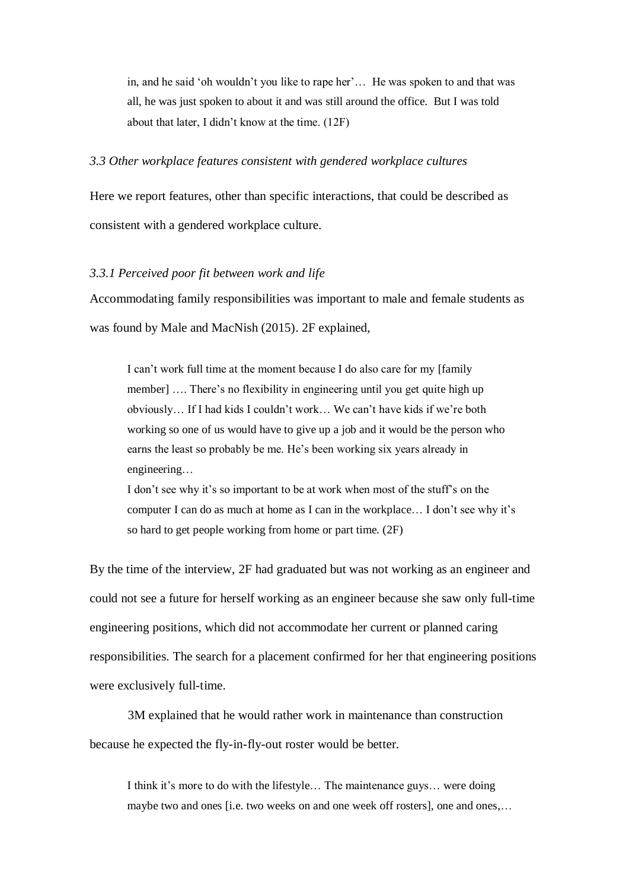in, and he said 'oh wouldn't you like to rape her'… He was spoken to and that was all, he was just spoken to about it and was still around the office. But I was told about that later, I didn't know at the time. (12F)

# *3.3 Other workplace features consistent with gendered workplace cultures*

Here we report features, other than specific interactions, that could be described as consistent with a gendered workplace culture.

## *3.3.1 Perceived poor fit between work and life*

Accommodating family responsibilities was important to male and female students as was found by Male and MacNish (2015). 2F explained,

I can't work full time at the moment because I do also care for my [family member] …. There's no flexibility in engineering until you get quite high up obviously… If I had kids I couldn't work… We can't have kids if we're both working so one of us would have to give up a job and it would be the person who earns the least so probably be me. He's been working six years already in engineering…

I don't see why it's so important to be at work when most of the stuff's on the computer I can do as much at home as I can in the workplace… I don't see why it's so hard to get people working from home or part time. (2F)

By the time of the interview, 2F had graduated but was not working as an engineer and could not see a future for herself working as an engineer because she saw only full-time engineering positions, which did not accommodate her current or planned caring responsibilities. The search for a placement confirmed for her that engineering positions were exclusively full-time.

3M explained that he would rather work in maintenance than construction because he expected the fly-in-fly-out roster would be better.

I think it's more to do with the lifestyle… The maintenance guys… were doing maybe two and ones [i.e. two weeks on and one week off rosters], one and ones,...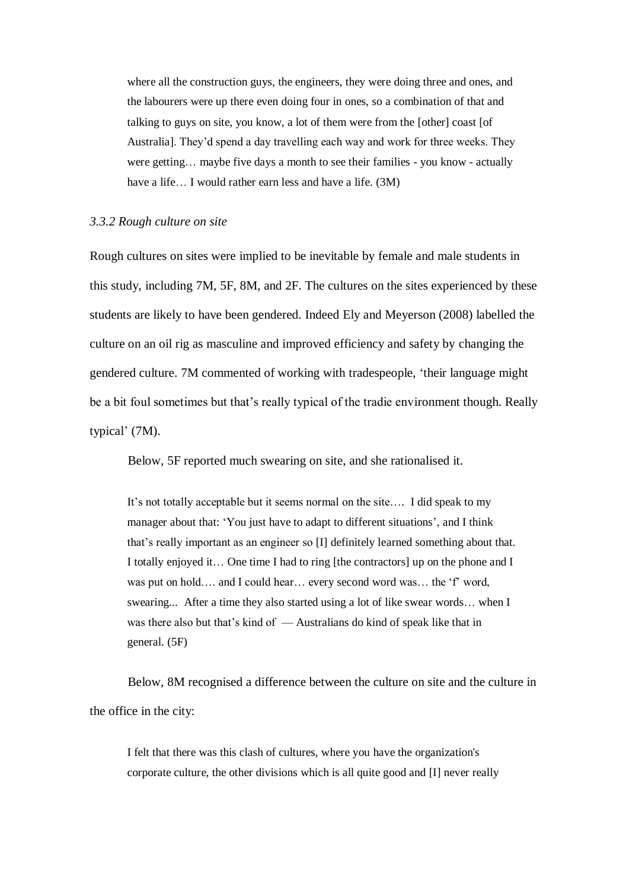where all the construction guys, the engineers, they were doing three and ones, and the labourers were up there even doing four in ones, so a combination of that and talking to guys on site, you know, a lot of them were from the [other] coast [of Australia]. They'd spend a day travelling each way and work for three weeks. They were getting… maybe five days a month to see their families - you know - actually have a life... I would rather earn less and have a life. (3M)

#### *3.3.2 Rough culture on site*

Rough cultures on sites were implied to be inevitable by female and male students in this study, including 7M, 5F, 8M, and 2F. The cultures on the sites experienced by these students are likely to have been gendered. Indeed Ely and Meyerson (2008) labelled the culture on an oil rig as masculine and improved efficiency and safety by changing the gendered culture. 7M commented of working with tradespeople, 'their language might be a bit foul sometimes but that's really typical of the tradie environment though. Really typical' (7M).

Below, 5F reported much swearing on site, and she rationalised it.

It's not totally acceptable but it seems normal on the site…. I did speak to my manager about that: 'You just have to adapt to different situations', and I think that's really important as an engineer so [I] definitely learned something about that. I totally enjoyed it… One time I had to ring [the contractors] up on the phone and I was put on hold…. and I could hear... every second word was... the 'f' word, swearing... After a time they also started using a lot of like swear words… when I was there also but that's kind of — Australians do kind of speak like that in general. (5F)

Below, 8M recognised a difference between the culture on site and the culture in the office in the city:

I felt that there was this clash of cultures, where you have the organization's corporate culture, the other divisions which is all quite good and [I] never really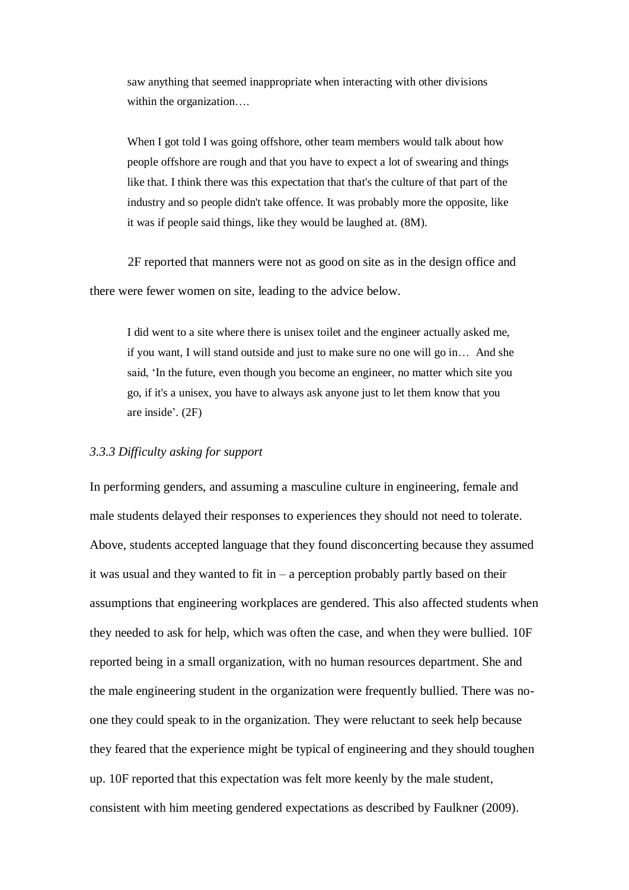saw anything that seemed inappropriate when interacting with other divisions within the organization...

When I got told I was going offshore, other team members would talk about how people offshore are rough and that you have to expect a lot of swearing and things like that. I think there was this expectation that that's the culture of that part of the industry and so people didn't take offence. It was probably more the opposite, like it was if people said things, like they would be laughed at. (8M).

2F reported that manners were not as good on site as in the design office and there were fewer women on site, leading to the advice below.

I did went to a site where there is unisex toilet and the engineer actually asked me, if you want, I will stand outside and just to make sure no one will go in… And she said, 'In the future, even though you become an engineer, no matter which site you go, if it's a unisex, you have to always ask anyone just to let them know that you are inside'. (2F)

# *3.3.3 Difficulty asking for support*

In performing genders, and assuming a masculine culture in engineering, female and male students delayed their responses to experiences they should not need to tolerate. Above, students accepted language that they found disconcerting because they assumed it was usual and they wanted to fit in  $-$  a perception probably partly based on their assumptions that engineering workplaces are gendered. This also affected students when they needed to ask for help, which was often the case, and when they were bullied. 10F reported being in a small organization, with no human resources department. She and the male engineering student in the organization were frequently bullied. There was noone they could speak to in the organization. They were reluctant to seek help because they feared that the experience might be typical of engineering and they should toughen up. 10F reported that this expectation was felt more keenly by the male student, consistent with him meeting gendered expectations as described by Faulkner (2009).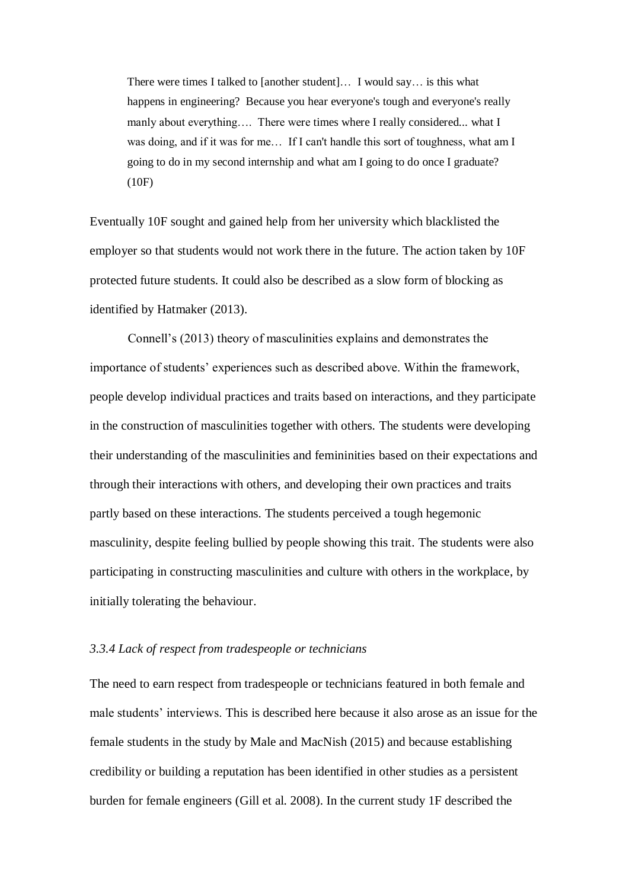There were times I talked to [another student]… I would say… is this what happens in engineering? Because you hear everyone's tough and everyone's really manly about everything…. There were times where I really considered... what I was doing, and if it was for me… If I can't handle this sort of toughness, what am I going to do in my second internship and what am I going to do once I graduate? (10F)

Eventually 10F sought and gained help from her university which blacklisted the employer so that students would not work there in the future. The action taken by 10F protected future students. It could also be described as a slow form of blocking as identified by Hatmaker (2013).

Connell's (2013) theory of masculinities explains and demonstrates the importance of students' experiences such as described above. Within the framework, people develop individual practices and traits based on interactions, and they participate in the construction of masculinities together with others. The students were developing their understanding of the masculinities and femininities based on their expectations and through their interactions with others, and developing their own practices and traits partly based on these interactions. The students perceived a tough hegemonic masculinity, despite feeling bullied by people showing this trait. The students were also participating in constructing masculinities and culture with others in the workplace, by initially tolerating the behaviour.

#### *3.3.4 Lack of respect from tradespeople or technicians*

The need to earn respect from tradespeople or technicians featured in both female and male students' interviews. This is described here because it also arose as an issue for the female students in the study by Male and MacNish (2015) and because establishing credibility or building a reputation has been identified in other studies as a persistent burden for female engineers [\(Gill et al. 2008\)](#page-33-1). In the current study 1F described the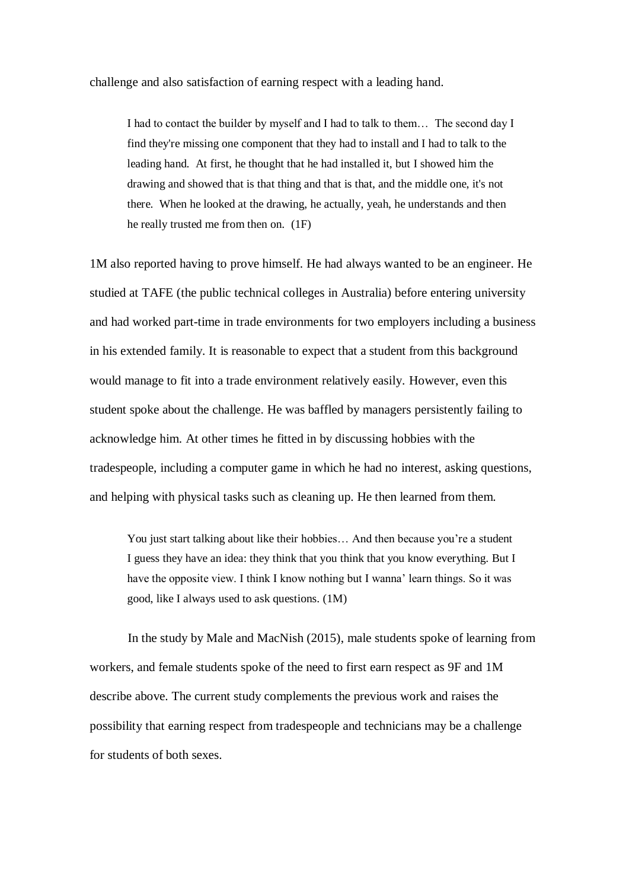challenge and also satisfaction of earning respect with a leading hand.

I had to contact the builder by myself and I had to talk to them… The second day I find they're missing one component that they had to install and I had to talk to the leading hand. At first, he thought that he had installed it, but I showed him the drawing and showed that is that thing and that is that, and the middle one, it's not there. When he looked at the drawing, he actually, yeah, he understands and then he really trusted me from then on. (1F)

1M also reported having to prove himself. He had always wanted to be an engineer. He studied at TAFE (the public technical colleges in Australia) before entering university and had worked part-time in trade environments for two employers including a business in his extended family. It is reasonable to expect that a student from this background would manage to fit into a trade environment relatively easily. However, even this student spoke about the challenge. He was baffled by managers persistently failing to acknowledge him. At other times he fitted in by discussing hobbies with the tradespeople, including a computer game in which he had no interest, asking questions, and helping with physical tasks such as cleaning up. He then learned from them.

You just start talking about like their hobbies… And then because you're a student I guess they have an idea: they think that you think that you know everything. But I have the opposite view. I think I know nothing but I wanna' learn things. So it was good, like I always used to ask questions. (1M)

In the study by Male and MacNish (2015), male students spoke of learning from workers, and female students spoke of the need to first earn respect as 9F and 1M describe above. The current study complements the previous work and raises the possibility that earning respect from tradespeople and technicians may be a challenge for students of both sexes.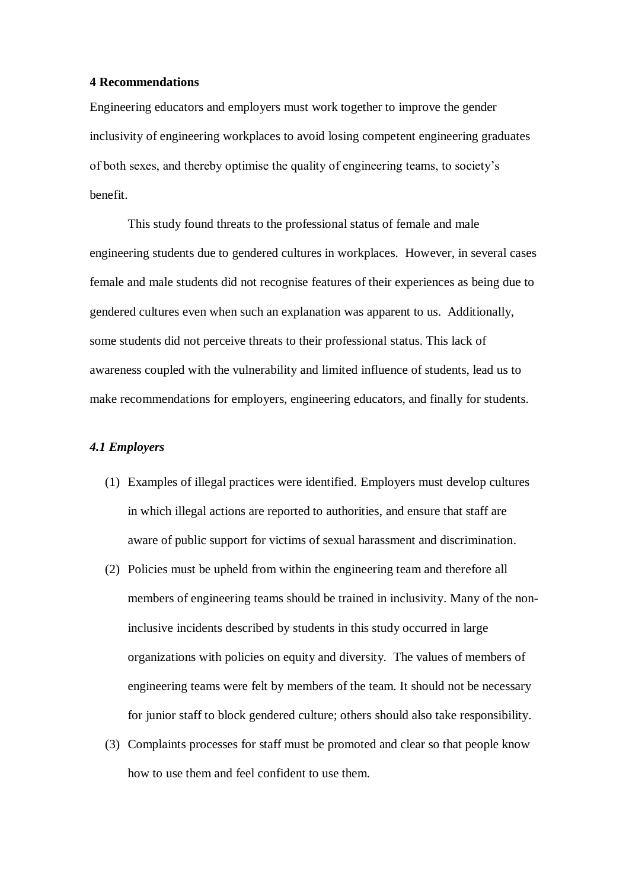#### **4 Recommendations**

Engineering educators and employers must work together to improve the gender inclusivity of engineering workplaces to avoid losing competent engineering graduates of both sexes, and thereby optimise the quality of engineering teams, to society's benefit.

This study found threats to the professional status of female and male engineering students due to gendered cultures in workplaces. However, in several cases female and male students did not recognise features of their experiences as being due to gendered cultures even when such an explanation was apparent to us. Additionally, some students did not perceive threats to their professional status. This lack of awareness coupled with the vulnerability and limited influence of students, lead us to make recommendations for employers, engineering educators, and finally for students.

# *4.1 Employers*

- (1) Examples of illegal practices were identified. Employers must develop cultures in which illegal actions are reported to authorities, and ensure that staff are aware of public support for victims of sexual harassment and discrimination.
- (2) Policies must be upheld from within the engineering team and therefore all members of engineering teams should be trained in inclusivity. Many of the noninclusive incidents described by students in this study occurred in large organizations with policies on equity and diversity. The values of members of engineering teams were felt by members of the team. It should not be necessary for junior staff to block gendered culture; others should also take responsibility.
- (3) Complaints processes for staff must be promoted and clear so that people know how to use them and feel confident to use them.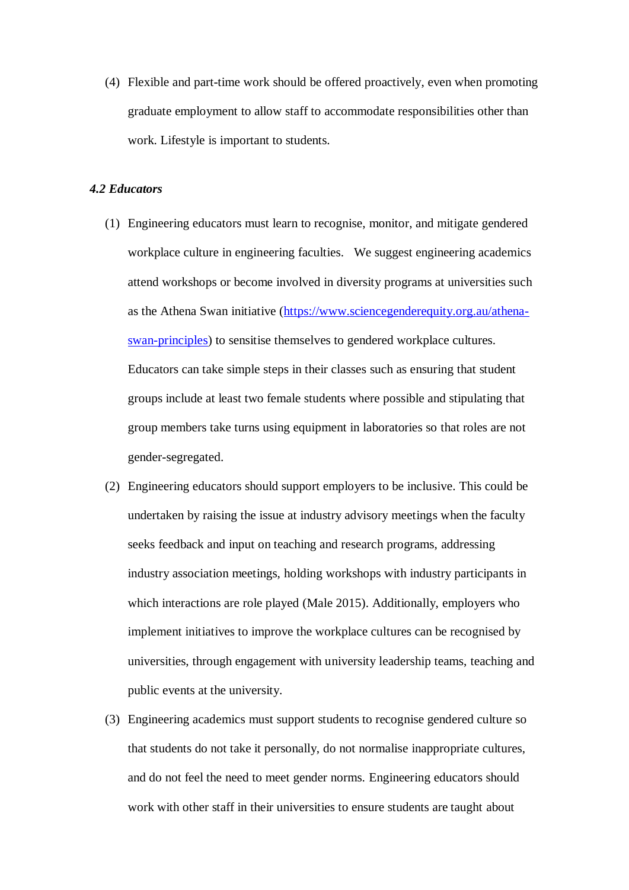(4) Flexible and part-time work should be offered proactively, even when promoting graduate employment to allow staff to accommodate responsibilities other than work. Lifestyle is important to students.

# *4.2 Educators*

- (1) Engineering educators must learn to recognise, monitor, and mitigate gendered workplace culture in engineering faculties. We suggest engineering academics attend workshops or become involved in diversity programs at universities such as the Athena Swan initiative [\(https://www.sciencegenderequity.org.au/athena](https://www.sciencegenderequity.org.au/athena-swan-principles)[swan-principles\)](https://www.sciencegenderequity.org.au/athena-swan-principles) to sensitise themselves to gendered workplace cultures. Educators can take simple steps in their classes such as ensuring that student groups include at least two female students where possible and stipulating that group members take turns using equipment in laboratories so that roles are not gender-segregated.
- (2) Engineering educators should support employers to be inclusive. This could be undertaken by raising the issue at industry advisory meetings when the faculty seeks feedback and input on teaching and research programs, addressing industry association meetings, holding workshops with industry participants in which interactions are role played [\(Male 2015\)](#page-34-12). Additionally, employers who implement initiatives to improve the workplace cultures can be recognised by universities, through engagement with university leadership teams, teaching and public events at the university.
- (3) Engineering academics must support students to recognise gendered culture so that students do not take it personally, do not normalise inappropriate cultures, and do not feel the need to meet gender norms. Engineering educators should work with other staff in their universities to ensure students are taught about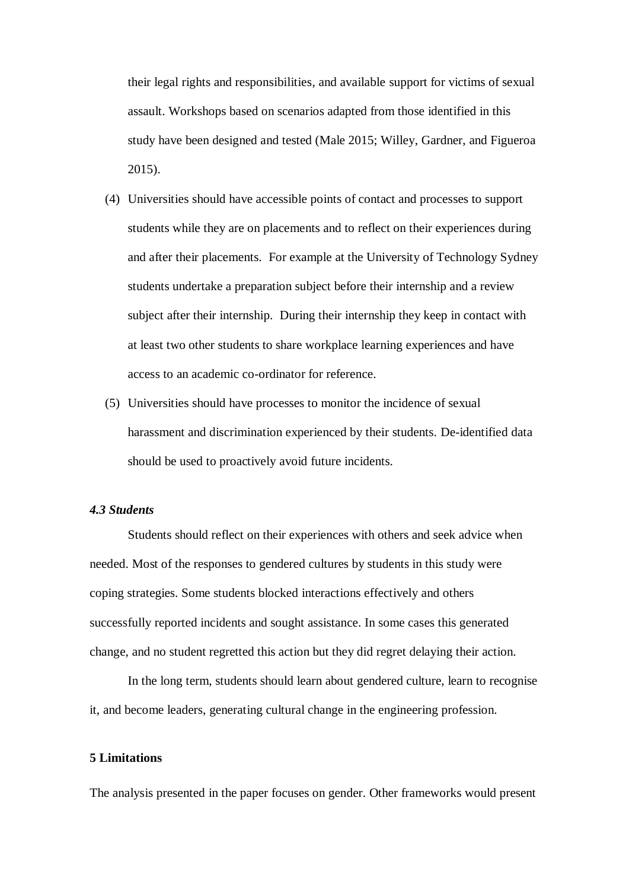their legal rights and responsibilities, and available support for victims of sexual assault. Workshops based on scenarios adapted from those identified in this study have been designed and tested [\(Male 2015;](#page-34-12) [Willey, Gardner, and Figueroa](#page-35-1)  [2015\)](#page-35-1).

- (4) Universities should have accessible points of contact and processes to support students while they are on placements and to reflect on their experiences during and after their placements. For example at the University of Technology Sydney students undertake a preparation subject before their internship and a review subject after their internship. During their internship they keep in contact with at least two other students to share workplace learning experiences and have access to an academic co-ordinator for reference.
- (5) Universities should have processes to monitor the incidence of sexual harassment and discrimination experienced by their students. De-identified data should be used to proactively avoid future incidents.

# *4.3 Students*

Students should reflect on their experiences with others and seek advice when needed. Most of the responses to gendered cultures by students in this study were coping strategies. Some students blocked interactions effectively and others successfully reported incidents and sought assistance. In some cases this generated change, and no student regretted this action but they did regret delaying their action.

In the long term, students should learn about gendered culture, learn to recognise it, and become leaders, generating cultural change in the engineering profession.

# **5 Limitations**

The analysis presented in the paper focuses on gender. Other frameworks would present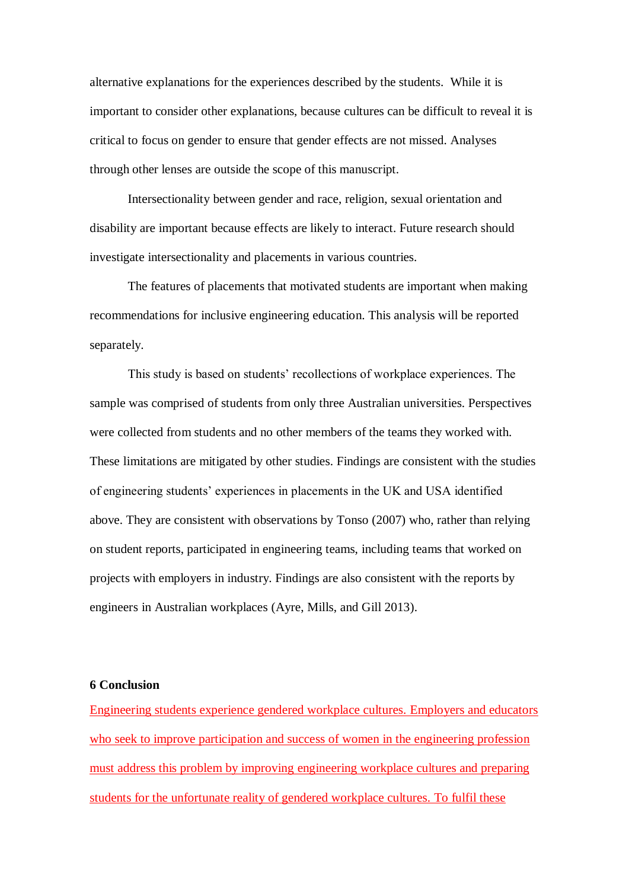alternative explanations for the experiences described by the students. While it is important to consider other explanations, because cultures can be difficult to reveal it is critical to focus on gender to ensure that gender effects are not missed. Analyses through other lenses are outside the scope of this manuscript.

Intersectionality between gender and race, religion, sexual orientation and disability are important because effects are likely to interact. Future research should investigate intersectionality and placements in various countries.

The features of placements that motivated students are important when making recommendations for inclusive engineering education. This analysis will be reported separately.

This study is based on students' recollections of workplace experiences. The sample was comprised of students from only three Australian universities. Perspectives were collected from students and no other members of the teams they worked with. These limitations are mitigated by other studies. Findings are consistent with the studies of engineering students' experiences in placements in the UK and USA identified above. They are consistent with observations by Tonso (2007) who, rather than relying on student reports, participated in engineering teams, including teams that worked on projects with employers in industry. Findings are also consistent with the reports by engineers in Australian workplaces [\(Ayre, Mills, and Gill 2013\)](#page-33-14).

#### **6 Conclusion**

Engineering students experience gendered workplace cultures. Employers and educators who seek to improve participation and success of women in the engineering profession must address this problem by improving engineering workplace cultures and preparing students for the unfortunate reality of gendered workplace cultures. To fulfil these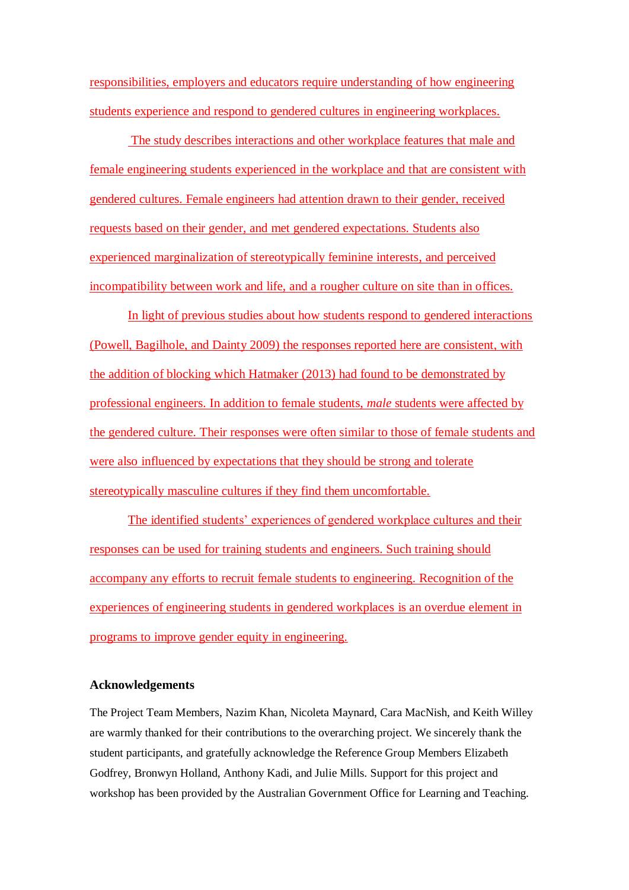responsibilities, employers and educators require understanding of how engineering students experience and respond to gendered cultures in engineering workplaces.

The study describes interactions and other workplace features that male and female engineering students experienced in the workplace and that are consistent with gendered cultures. Female engineers had attention drawn to their gender, received requests based on their gender, and met gendered expectations. Students also experienced marginalization of stereotypically feminine interests, and perceived incompatibility between work and life, and a rougher culture on site than in offices.

In light of previous studies about how students respond to gendered interactions [\(Powell, Bagilhole, and Dainty 2009\)](#page-34-8) the responses reported here are consistent, with the addition of blocking which Hatmaker (2013) had found to be demonstrated by professional engineers. In addition to female students, *male* students were affected by the gendered culture. Their responses were often similar to those of female students and were also influenced by expectations that they should be strong and tolerate stereotypically masculine cultures if they find them uncomfortable.

The identified students' experiences of gendered workplace cultures and their responses can be used for training students and engineers. Such training should accompany any efforts to recruit female students to engineering. Recognition of the experiences of engineering students in gendered workplaces is an overdue element in programs to improve gender equity in engineering.

#### **Acknowledgements**

The Project Team Members, Nazim Khan, Nicoleta Maynard, Cara MacNish, and Keith Willey are warmly thanked for their contributions to the overarching project. We sincerely thank the student participants, and gratefully acknowledge the Reference Group Members Elizabeth Godfrey, Bronwyn Holland, Anthony Kadi, and Julie Mills. Support for this project and workshop has been provided by the Australian Government Office for Learning and Teaching.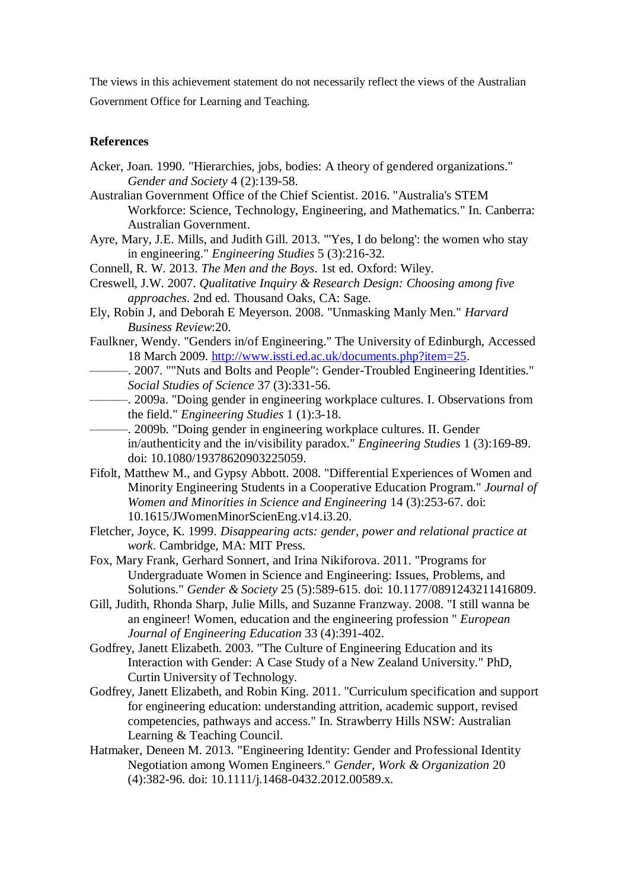The views in this achievement statement do not necessarily reflect the views of the Australian

Government Office for Learning and Teaching.

# **References**

- <span id="page-33-7"></span>Acker, Joan. 1990. "Hierarchies, jobs, bodies: A theory of gendered organizations." *Gender and Society* 4 (2):139-58.
- <span id="page-33-0"></span>Australian Government Office of the Chief Scientist. 2016. "Australia's STEM Workforce: Science, Technology, Engineering, and Mathematics." In. Canberra: Australian Government.
- <span id="page-33-14"></span>Ayre, Mary, J.E. Mills, and Judith Gill. 2013. "'Yes, I do belong': the women who stay in engineering." *Engineering Studies* 5 (3):216-32.
- Connell, R. W. 2013. *The Men and the Boys*. 1st ed. Oxford: Wiley.
- <span id="page-33-12"></span>Creswell, J.W. 2007. *Qualitative Inquiry & Research Design: Choosing among five approaches*. 2nd ed. Thousand Oaks, CA: Sage.
- Ely, Robin J, and Deborah E Meyerson. 2008. "Unmasking Manly Men." *Harvard Business Review*:20.
- <span id="page-33-10"></span>Faulkner, Wendy. "Genders in/of Engineering." The University of Edinburgh, Accessed 18 March 2009. [http://www.issti.ed.ac.uk/documents.php?item=25.](http://www.issti.ed.ac.uk/documents.php?item=25)
- <span id="page-33-8"></span>———. 2007. ""Nuts and Bolts and People": Gender-Troubled Engineering Identities." *Social Studies of Science* 37 (3):331-56.
- <span id="page-33-9"></span>———. 2009a. "Doing gender in engineering workplace cultures. I. Observations from the field." *Engineering Studies* 1 (1):3-18.
- <span id="page-33-13"></span>———. 2009b. "Doing gender in engineering workplace cultures. II. Gender in/authenticity and the in/visibility paradox." *Engineering Studies* 1 (3):169-89. doi: 10.1080/19378620903225059.
- <span id="page-33-6"></span>Fifolt, Matthew M., and Gypsy Abbott. 2008. "Differential Experiences of Women and Minority Engineering Students in a Cooperative Education Program." *Journal of Women and Minorities in Science and Engineering* 14 (3):253-67. doi: 10.1615/JWomenMinorScienEng.v14.i3.20.
- <span id="page-33-11"></span>Fletcher, Joyce, K. 1999. *Disappearing acts: gender, power and relational practice at work*. Cambridge, MA: MIT Press.
- <span id="page-33-3"></span>Fox, Mary Frank, Gerhard Sonnert, and Irina Nikiforova. 2011. "Programs for Undergraduate Women in Science and Engineering: Issues, Problems, and Solutions." *Gender & Society* 25 (5):589-615. doi: 10.1177/0891243211416809.
- <span id="page-33-1"></span>Gill, Judith, Rhonda Sharp, Julie Mills, and Suzanne Franzway. 2008. "I still wanna be an engineer! Women, education and the engineering profession " *European Journal of Engineering Education* 33 (4):391-402.
- <span id="page-33-5"></span>Godfrey, Janett Elizabeth. 2003. "The Culture of Engineering Education and its Interaction with Gender: A Case Study of a New Zealand University." PhD, Curtin University of Technology.
- <span id="page-33-4"></span>Godfrey, Janett Elizabeth, and Robin King. 2011. "Curriculum specification and support for engineering education: understanding attrition, academic support, revised competencies, pathways and access." In. Strawberry Hills NSW: Australian Learning & Teaching Council.
- <span id="page-33-2"></span>Hatmaker, Deneen M. 2013. "Engineering Identity: Gender and Professional Identity Negotiation among Women Engineers." *Gender, Work & Organization* 20 (4):382-96. doi: 10.1111/j.1468-0432.2012.00589.x.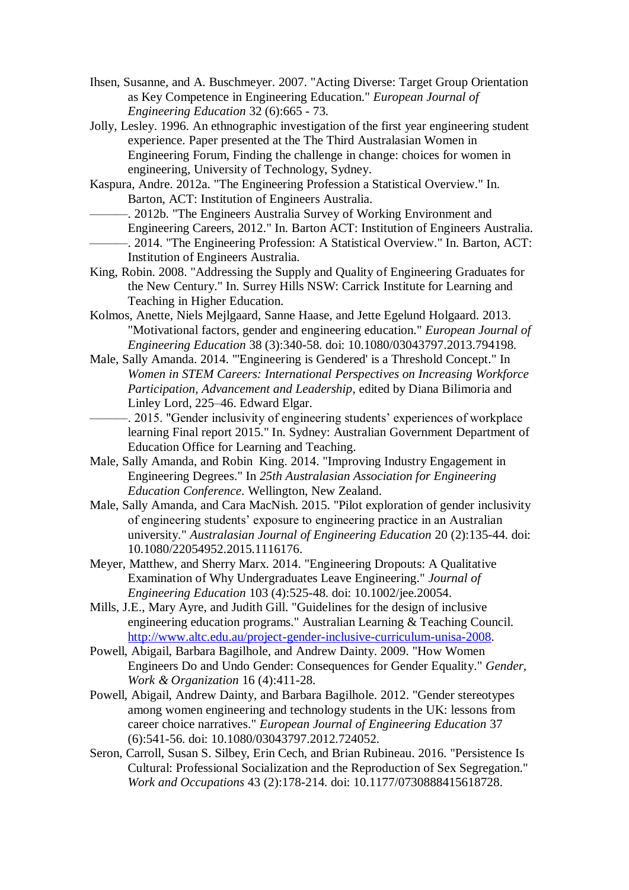- <span id="page-34-2"></span>Ihsen, Susanne, and A. Buschmeyer. 2007. "Acting Diverse: Target Group Orientation as Key Competence in Engineering Education." *European Journal of Engineering Education* 32 (6):665 - 73.
- Jolly, Lesley. 1996. An ethnographic investigation of the first year engineering student experience. Paper presented at the The Third Australasian Women in Engineering Forum, Finding the challenge in change: choices for women in engineering, University of Technology, Sydney.
- <span id="page-34-0"></span>Kaspura, Andre. 2012a. "The Engineering Profession a Statistical Overview." In. Barton, ACT: Institution of Engineers Australia.
- <span id="page-34-4"></span><span id="page-34-1"></span>-. 2012b. "The Engineers Australia Survey of Working Environment and Engineering Careers, 2012." In. Barton ACT: Institution of Engineers Australia. -. 2014. "The Engineering Profession: A Statistical Overview." In. Barton, ACT: Institution of Engineers Australia.
- <span id="page-34-3"></span>King, Robin. 2008. "Addressing the Supply and Quality of Engineering Graduates for the New Century." In. Surrey Hills NSW: Carrick Institute for Learning and Teaching in Higher Education.
- <span id="page-34-6"></span>Kolmos, Anette, Niels Mejlgaard, Sanne Haase, and Jette Egelund Holgaard. 2013. "Motivational factors, gender and engineering education." *European Journal of Engineering Education* 38 (3):340-58. doi: 10.1080/03043797.2013.794198.
- <span id="page-34-11"></span>Male, Sally Amanda. 2014. "'Engineering is Gendered' is a Threshold Concept." In *Women in STEM Careers: International Perspectives on Increasing Workforce Participation, Advancement and Leadership*, edited by Diana Bilimoria and Linley Lord, 225–46. Edward Elgar.
	- -. 2015. "Gender inclusivity of engineering students' experiences of workplace learning Final report 2015." In. Sydney: Australian Government Department of Education Office for Learning and Teaching.
- <span id="page-34-12"></span><span id="page-34-7"></span>Male, Sally Amanda, and Robin King. 2014. "Improving Industry Engagement in Engineering Degrees." In *25th Australasian Association for Engineering Education Conference*. Wellington, New Zealand.
- <span id="page-34-9"></span>Male, Sally Amanda, and Cara MacNish. 2015. "Pilot exploration of gender inclusivity of engineering students' exposure to engineering practice in an Australian university." *Australasian Journal of Engineering Education* 20 (2):135-44. doi: 10.1080/22054952.2015.1116176.
- Meyer, Matthew, and Sherry Marx. 2014. "Engineering Dropouts: A Qualitative Examination of Why Undergraduates Leave Engineering." *Journal of Engineering Education* 103 (4):525-48. doi: 10.1002/jee.20054.
- <span id="page-34-5"></span>Mills, J.E., Mary Ayre, and Judith Gill. "Guidelines for the design of inclusive engineering education programs." Australian Learning & Teaching Council. [http://www.altc.edu.au/project-gender-inclusive-curriculum-unisa-2008.](http://www.altc.edu.au/project-gender-inclusive-curriculum-unisa-2008)
- <span id="page-34-8"></span>Powell, Abigail, Barbara Bagilhole, and Andrew Dainty. 2009. "How Women Engineers Do and Undo Gender: Consequences for Gender Equality." *Gender, Work & Organization* 16 (4):411-28.
- Powell, Abigail, Andrew Dainty, and Barbara Bagilhole. 2012. "Gender stereotypes among women engineering and technology students in the UK: lessons from career choice narratives." *European Journal of Engineering Education* 37 (6):541-56. doi: 10.1080/03043797.2012.724052.
- <span id="page-34-10"></span>Seron, Carroll, Susan S. Silbey, Erin Cech, and Brian Rubineau. 2016. "Persistence Is Cultural: Professional Socialization and the Reproduction of Sex Segregation." *Work and Occupations* 43 (2):178-214. doi: 10.1177/0730888415618728.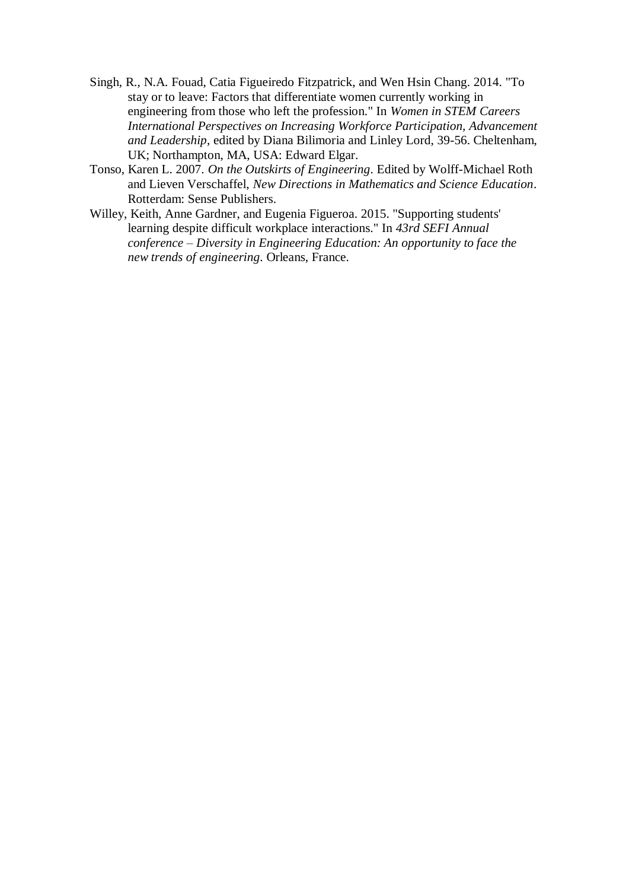- <span id="page-35-0"></span>Singh, R., N.A. Fouad, Catia Figueiredo Fitzpatrick, and Wen Hsin Chang. 2014. "To stay or to leave: Factors that differentiate women currently working in engineering from those who left the profession." In *Women in STEM Careers International Perspectives on Increasing Workforce Participation, Advancement and Leadership*, edited by Diana Bilimoria and Linley Lord, 39-56. Cheltenham, UK; Northampton, MA, USA: Edward Elgar.
- Tonso, Karen L. 2007. *On the Outskirts of Engineering*. Edited by Wolff-Michael Roth and Lieven Verschaffel, *New Directions in Mathematics and Science Education*. Rotterdam: Sense Publishers.
- <span id="page-35-1"></span>Willey, Keith, Anne Gardner, and Eugenia Figueroa. 2015. "Supporting students' learning despite difficult workplace interactions." In *43rd SEFI Annual conference – Diversity in Engineering Education: An opportunity to face the new trends of engineering*. Orleans, France.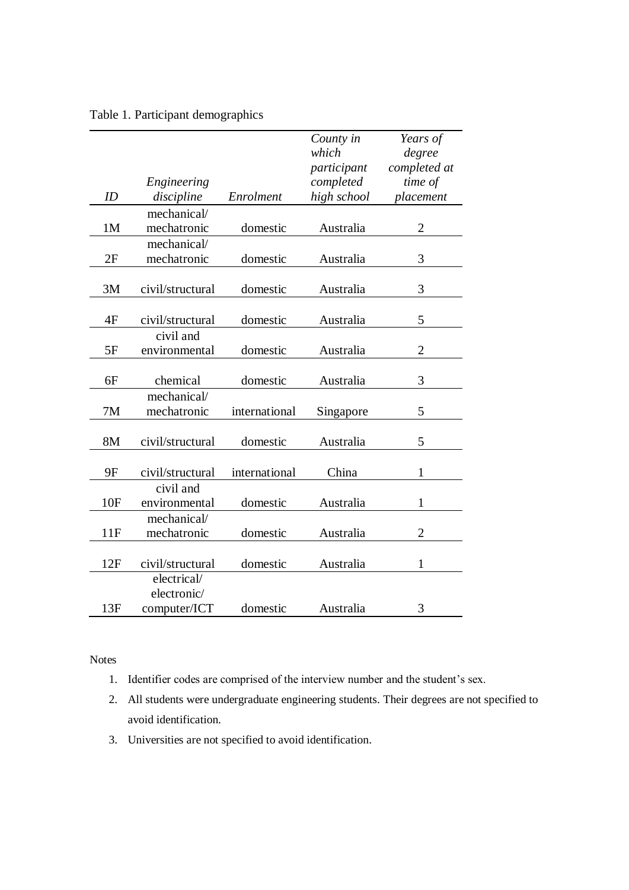|  |  | Table 1. Participant demographics |
|--|--|-----------------------------------|
|--|--|-----------------------------------|

|                |                  |               | County in   | Years of       |
|----------------|------------------|---------------|-------------|----------------|
|                |                  |               | which       | degree         |
|                |                  |               | participant | completed at   |
|                | Engineering      |               | completed   | time of        |
| ID             | discipline       | Enrolment     | high school | placement      |
|                | mechanical/      |               |             |                |
| 1 <sub>M</sub> | mechatronic      | domestic      | Australia   | $\overline{2}$ |
|                | mechanical/      |               |             |                |
| 2F             | mechatronic      | domestic      | Australia   | 3              |
|                |                  |               |             |                |
| 3M             | civil/structural | domestic      | Australia   | 3              |
|                |                  |               |             |                |
| 4F             | civil/structural | domestic      | Australia   | 5              |
|                | civil and        |               |             |                |
| 5F             | environmental    | domestic      | Australia   | $\overline{2}$ |
|                |                  |               |             |                |
| 6F             | chemical         | domestic      | Australia   | 3              |
|                | mechanical/      |               |             |                |
| 7M             | mechatronic      | international | Singapore   | 5              |
|                |                  |               |             |                |
| 8M             | civil/structural | domestic      | Australia   | 5              |
|                |                  |               |             |                |
| 9F             | civil/structural | international | China       | 1              |
|                | civil and        |               |             |                |
| 10F            | environmental    | domestic      | Australia   | 1              |
|                | mechanical/      |               |             |                |
| 11F            | mechatronic      | domestic      | Australia   | $\overline{2}$ |
|                |                  |               |             |                |
| 12F            | civil/structural | domestic      | Australia   | 1              |
|                | electrical/      |               |             |                |
|                | electronic/      |               |             |                |
| 13F            | computer/ICT     | domestic      | Australia   | 3              |

Notes

- 1. Identifier codes are comprised of the interview number and the student's sex.
- 2. All students were undergraduate engineering students. Their degrees are not specified to avoid identification.
- 3. Universities are not specified to avoid identification.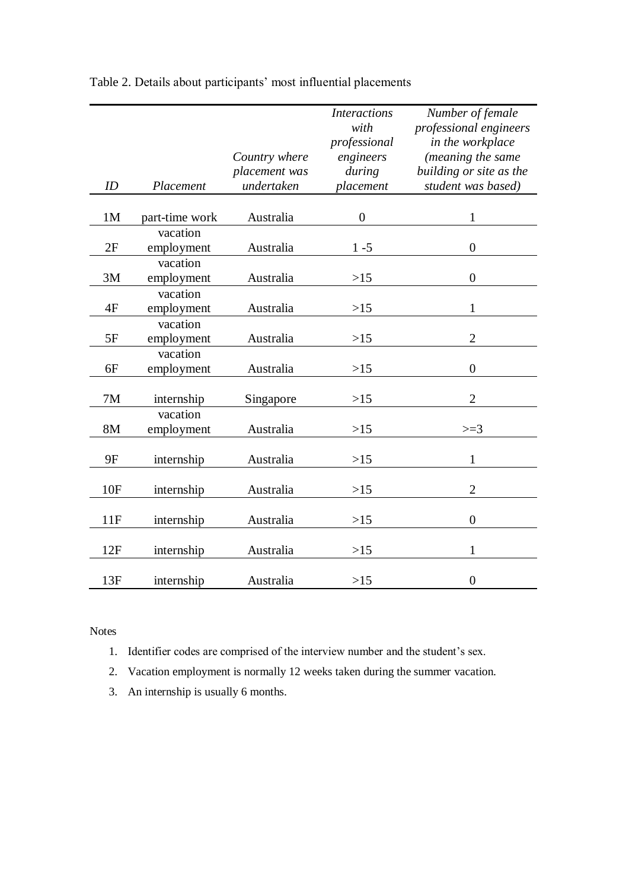|     |                        | Country where | <b>Interactions</b><br>with<br>professional<br>engineers | Number of female<br>professional engineers<br>in the workplace<br>(meaning the same |
|-----|------------------------|---------------|----------------------------------------------------------|-------------------------------------------------------------------------------------|
|     |                        | placement was | during                                                   | building or site as the                                                             |
| ID  | Placement              | undertaken    | placement                                                | student was based)                                                                  |
|     |                        |               |                                                          |                                                                                     |
| 1M  | part-time work         | Australia     | $\boldsymbol{0}$                                         | $\mathbf{1}$                                                                        |
|     | vacation               |               |                                                          |                                                                                     |
| 2F  | employment             | Australia     | $1 - 5$                                                  | $\overline{0}$                                                                      |
|     | vacation               |               |                                                          |                                                                                     |
| 3M  | employment             | Australia     | $>15$                                                    | $\boldsymbol{0}$                                                                    |
|     | vacation               |               |                                                          |                                                                                     |
| 4F  | employment             | Australia     | $>15$                                                    | $\mathbf{1}$                                                                        |
| 5F  | vacation<br>employment | Australia     | $>15$                                                    | $\overline{2}$                                                                      |
|     | vacation               |               |                                                          |                                                                                     |
| 6F  | employment             | Australia     | $>15$                                                    | $\overline{0}$                                                                      |
|     |                        |               |                                                          |                                                                                     |
| 7M  | internship             | Singapore     | $>15$                                                    | $\overline{2}$                                                                      |
|     | vacation               |               |                                                          |                                                                                     |
| 8M  | employment             | Australia     | $>15$                                                    | $>=3$                                                                               |
| 9F  |                        | Australia     | $>15$                                                    | $\mathbf{1}$                                                                        |
|     | internship             |               |                                                          |                                                                                     |
| 10F | internship             | Australia     | >15                                                      | $\overline{2}$                                                                      |
|     |                        |               |                                                          |                                                                                     |
| 11F | internship             | Australia     | $>15$                                                    | $\overline{0}$                                                                      |
| 12F | internship             | Australia     | $>15$                                                    | $\mathbf{1}$                                                                        |
|     |                        |               |                                                          |                                                                                     |
| 13F | internship             | Australia     | >15                                                      | $\overline{0}$                                                                      |

Table 2. Details about participants' most influential placements

Notes

- 1. Identifier codes are comprised of the interview number and the student's sex.
- 2. Vacation employment is normally 12 weeks taken during the summer vacation.
- 3. An internship is usually 6 months.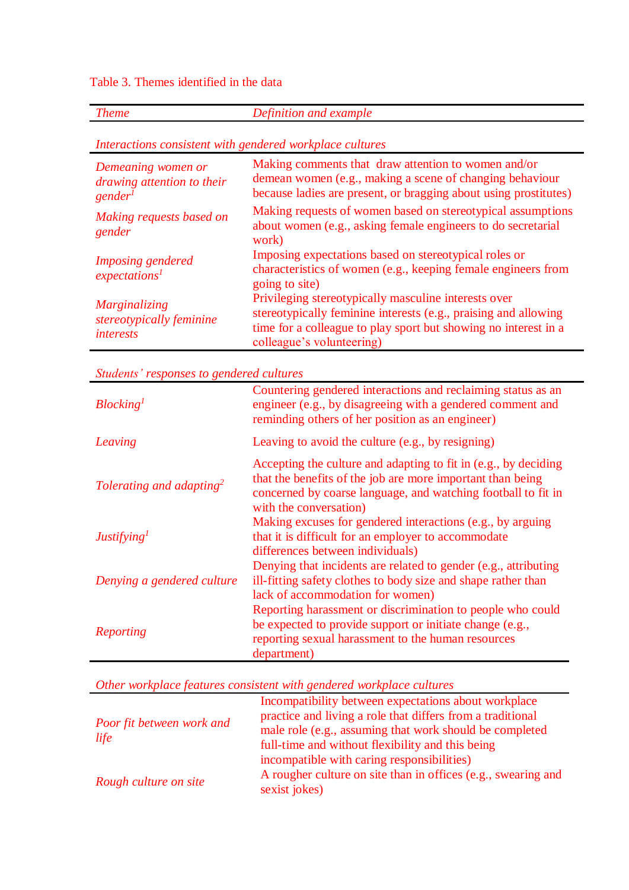Table 3. Themes identified in the data

*Theme Definition and example*

*Interactions consistent with gendered workplace cultures*

| Demeaning women or<br>drawing attention to their<br>gender <sup>1</sup> | Making comments that draw attention to women and/or<br>demean women (e.g., making a scene of changing behaviour<br>because ladies are present, or bragging about using prostitutes)                                     |
|-------------------------------------------------------------------------|-------------------------------------------------------------------------------------------------------------------------------------------------------------------------------------------------------------------------|
| Making requests based on<br>gender                                      | Making requests of women based on stereotypical assumptions<br>about women (e.g., asking female engineers to do secretarial<br>work)                                                                                    |
| Imposing gendered<br>expectations <sup>1</sup>                          | Imposing expectations based on stereotypical roles or<br>characteristics of women (e.g., keeping female engineers from<br>going to site)                                                                                |
| <i>Marginalizing</i><br>stereotypically feminine<br><i>interests</i>    | Privileging stereotypically masculine interests over<br>stereotypically feminine interests (e.g., praising and allowing<br>time for a colleague to play sport but showing no interest in a<br>colleague's volunteering) |

*Students' responses to gendered cultures*

| Blocking <sup>1</sup>                | Countering gendered interactions and reclaiming status as an<br>engineer (e.g., by disagreeing with a gendered comment and<br>reminding others of her position as an engineer)                                           |
|--------------------------------------|--------------------------------------------------------------------------------------------------------------------------------------------------------------------------------------------------------------------------|
| Leaving                              | Leaving to avoid the culture (e.g., by resigning)                                                                                                                                                                        |
| Tolerating and adapting <sup>2</sup> | Accepting the culture and adapting to fit in (e.g., by deciding<br>that the benefits of the job are more important than being<br>concerned by coarse language, and watching football to fit in<br>with the conversation) |
| Justifying <sup>1</sup>              | Making excuses for gendered interactions (e.g., by arguing<br>that it is difficult for an employer to accommodate<br>differences between individuals)                                                                    |
| Denying a gendered culture           | Denying that incidents are related to gender (e.g., attributing<br>ill-fitting safety clothes to body size and shape rather than<br>lack of accommodation for women)                                                     |
| Reporting                            | Reporting harassment or discrimination to people who could<br>be expected to provide support or initiate change (e.g.,<br>reporting sexual harassment to the human resources<br>department)                              |

*Other workplace features consistent with gendered workplace cultures*

| <b>Poor fit between work and</b><br>life | Incompatibility between expectations about workplace<br>practice and living a role that differs from a traditional<br>male role (e.g., assuming that work should be completed<br>full-time and without flexibility and this being |  |
|------------------------------------------|-----------------------------------------------------------------------------------------------------------------------------------------------------------------------------------------------------------------------------------|--|
| Rough culture on site                    | incompatible with caring responsibilities)<br>A rougher culture on site than in offices (e.g., swearing and<br>sexist jokes)                                                                                                      |  |